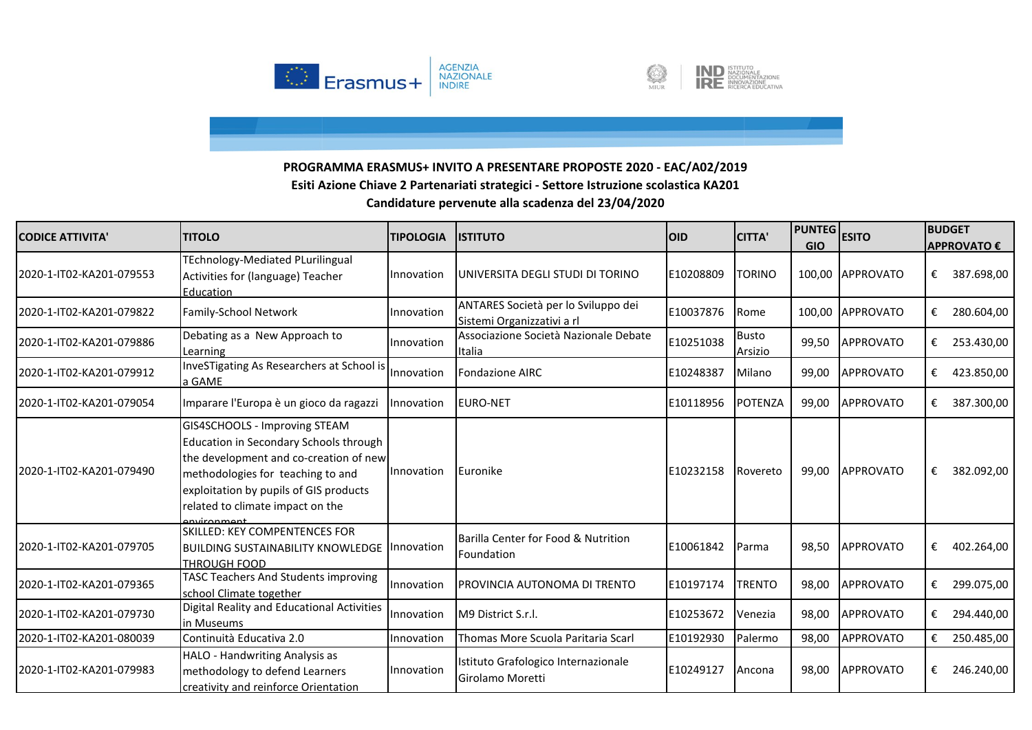



| <b>CODICE ATTIVITA'</b>  | <b>TITOLO</b>                                                                                                                                                                                                                                      | <b>TIPOLOGIA</b> | <b>ISTITUTO</b>                                                   | <b>OID</b> | <b>CITTA'</b>           | <b>PUNTEG</b><br><b>GIO</b> | <b>ESITO</b>     | <b>BUDGET</b> | <b>APPROVATO €</b> |
|--------------------------|----------------------------------------------------------------------------------------------------------------------------------------------------------------------------------------------------------------------------------------------------|------------------|-------------------------------------------------------------------|------------|-------------------------|-----------------------------|------------------|---------------|--------------------|
| 2020-1-IT02-KA201-079553 | <b>TEchnology-Mediated PLurilingual</b><br>Activities for (language) Teacher<br>Education                                                                                                                                                          | Innovation       | UNIVERSITA DEGLI STUDI DI TORINO                                  | E10208809  | <b>TORINO</b>           |                             | 100,00 APPROVATO | €             | 387.698,00         |
| 2020-1-IT02-KA201-079822 | Family-School Network                                                                                                                                                                                                                              | Innovation       | ANTARES Società per lo Sviluppo dei<br>Sistemi Organizzativi a rl | E10037876  | Rome                    | 100,00                      | <b>APPROVATO</b> | €             | 280.604,00         |
| 2020-1-IT02-KA201-079886 | Debating as a New Approach to<br>Learning                                                                                                                                                                                                          | Innovation       | Associazione Società Nazionale Debate<br>Italia                   | E10251038  | <b>Busto</b><br>Arsizio | 99,50                       | <b>APPROVATO</b> | €             | 253.430,00         |
| 2020-1-IT02-KA201-079912 | InveSTigating As Researchers at School is<br>a GAME                                                                                                                                                                                                | Innovation       | <b>Fondazione AIRC</b>                                            | E10248387  | Milano                  | 99,00                       | <b>APPROVATO</b> | €             | 423.850,00         |
| 2020-1-IT02-KA201-079054 | Imparare l'Europa è un gioco da ragazzi                                                                                                                                                                                                            | Innovation       | <b>EURO-NET</b>                                                   | E10118956  | POTENZA                 | 99,00                       | <b>APPROVATO</b> | €             | 387.300,00         |
| 2020-1-IT02-KA201-079490 | GIS4SCHOOLS - Improving STEAM<br>Education in Secondary Schools through<br>the development and co-creation of new<br>methodologies for teaching to and<br>exploitation by pupils of GIS products<br>related to climate impact on the<br>nvironmant | Innovation       | Euronike                                                          | E10232158  | Rovereto                | 99,00                       | <b>APPROVATO</b> | €             | 382.092,00         |
| 2020-1-IT02-KA201-079705 | <b>SKILLED: KEY COMPENTENCES FOR</b><br><b>BUILDING SUSTAINABILITY KNOWLEDGE Innovation</b><br><b>THROUGH FOOD</b>                                                                                                                                 |                  | Barilla Center for Food & Nutrition<br>Foundation                 | E10061842  | Parma                   | 98,50                       | <b>APPROVATO</b> | €             | 402.264,00         |
| 2020-1-IT02-KA201-079365 | <b>TASC Teachers And Students improving</b><br>school Climate together                                                                                                                                                                             | Innovation       | PROVINCIA AUTONOMA DI TRENTO                                      | E10197174  | <b>TRENTO</b>           | 98,00                       | <b>APPROVATO</b> | €             | 299.075,00         |
| 2020-1-IT02-KA201-079730 | Digital Reality and Educational Activities<br>in Museums                                                                                                                                                                                           | Innovation       | M9 District S.r.l.                                                | E10253672  | Venezia                 | 98,00                       | <b>APPROVATO</b> | €             | 294.440,00         |
| 2020-1-IT02-KA201-080039 | Continuità Educativa 2.0                                                                                                                                                                                                                           | Innovation       | Thomas More Scuola Paritaria Scarl                                | E10192930  | Palermo                 | 98,00                       | <b>APPROVATO</b> | €             | 250.485,00         |
| 2020-1-IT02-KA201-079983 | HALO - Handwriting Analysis as<br>methodology to defend Learners<br>creativity and reinforce Orientation                                                                                                                                           | Innovation       | Istituto Grafologico Internazionale<br>Girolamo Moretti           | E10249127  | Ancona                  | 98,00                       | APPROVATO        | €             | 246.240,00         |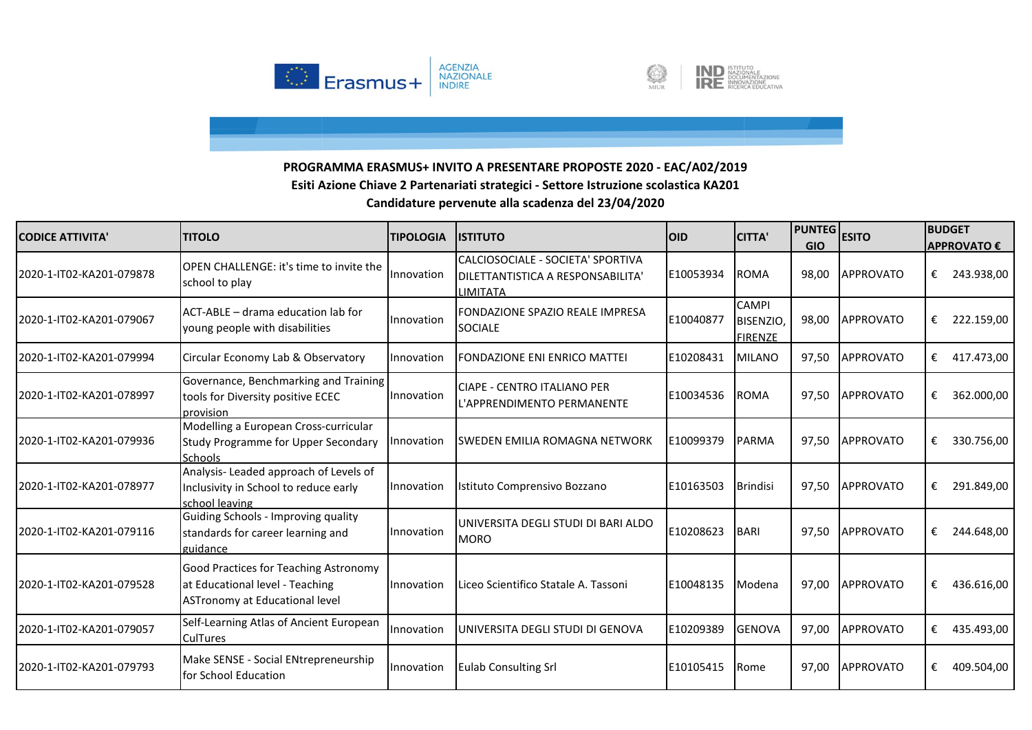



| <b>CODICE ATTIVITA'</b>  | <b>TITOLO</b>                                                                                                     | <b>TIPOLOGIA</b> | <b>IISTITUTO</b>                                                                          | <b>OID</b> | <b>CITTA'</b>                               | <b>PUNTEG</b><br><b>GIO</b> | <b>ESITO</b>     | <b>BUDGET</b><br><b>APPROVATO €</b> |
|--------------------------|-------------------------------------------------------------------------------------------------------------------|------------------|-------------------------------------------------------------------------------------------|------------|---------------------------------------------|-----------------------------|------------------|-------------------------------------|
| 2020-1-IT02-KA201-079878 | OPEN CHALLENGE: it's time to invite the<br>school to play                                                         | Innovation       | CALCIOSOCIALE - SOCIETA' SPORTIVA<br>DILETTANTISTICA A RESPONSABILITA'<br><b>LIMITATA</b> | E10053934  | <b>ROMA</b>                                 | 98,00                       | <b>APPROVATO</b> | €<br>243.938,00                     |
| 2020-1-IT02-KA201-079067 | ACT-ABLE - drama education lab for<br>voung people with disabilities                                              | Innovation       | FONDAZIONE SPAZIO REALE IMPRESA<br><b>SOCIALE</b>                                         | E10040877  | <b>CAMPI</b><br>BISENZIO,<br><b>FIRENZE</b> | 98,00                       | <b>APPROVATO</b> | €<br>222.159,00                     |
| 2020-1-IT02-KA201-079994 | Circular Economy Lab & Observatory                                                                                | Innovation       | <b>FONDAZIONE ENI ENRICO MATTEI</b>                                                       | E10208431  | <b>MILANO</b>                               | 97.50                       | <b>APPROVATO</b> | 417.473,00<br>€                     |
| 2020-1-IT02-KA201-078997 | Governance, Benchmarking and Training<br>tools for Diversity positive ECEC<br>provision                           | Innovation       | <b>ICIAPE - CENTRO ITALIANO PER</b><br>L'APPRENDIMENTO PERMANENTE                         | E10034536  | <b>ROMA</b>                                 | 97,50                       | <b>APPROVATO</b> | 362.000,00<br>€                     |
| 2020-1-IT02-KA201-079936 | Modelling a European Cross-curricular<br><b>Study Programme for Upper Secondary</b><br><b>Schools</b>             | Innovation       | <b>ISWEDEN EMILIA ROMAGNA NETWORK</b>                                                     | E10099379  | <b>PARMA</b>                                | 97,50                       | <b>APPROVATO</b> | €<br>330.756,00                     |
| 2020-1-IT02-KA201-078977 | Analysis- Leaded approach of Levels of<br>Inclusivity in School to reduce early<br>school leaving                 | Innovation       | Istituto Comprensivo Bozzano                                                              | E10163503  | <b>Brindisi</b>                             | 97,50                       | <b>APPROVATO</b> | 291.849,00<br>€                     |
| 2020-1-IT02-KA201-079116 | Guiding Schools - Improving quality<br>standards for career learning and<br>guidance                              | Innovation       | <b>IUNIVERSITA DEGLI STUDI DI BARI ALDO</b><br><b>MORO</b>                                | E10208623  | <b>BARI</b>                                 | 97,50                       | APPROVATO        | 244.648,00<br>€                     |
| 2020-1-IT02-KA201-079528 | <b>Good Practices for Teaching Astronomy</b><br>at Educational level - Teaching<br>ASTronomy at Educational level | Innovation       | Liceo Scientifico Statale A. Tassoni                                                      | E10048135  | Modena                                      | 97,00                       | <b>APPROVATO</b> | €<br>436.616,00                     |
| 2020-1-IT02-KA201-079057 | Self-Learning Atlas of Ancient European<br><b>CulTures</b>                                                        | Innovation       | UNIVERSITA DEGLI STUDI DI GENOVA                                                          | E10209389  | <b>GENOVA</b>                               | 97,00                       | <b>APPROVATO</b> | 435.493,00<br>€                     |
| 2020-1-IT02-KA201-079793 | Make SENSE - Social ENtrepreneurship<br>for School Education                                                      | Innovation       | <b>Eulab Consulting Srl</b>                                                               | E10105415  | Rome                                        | 97,00                       | <b>APPROVATO</b> | €<br>409.504,00                     |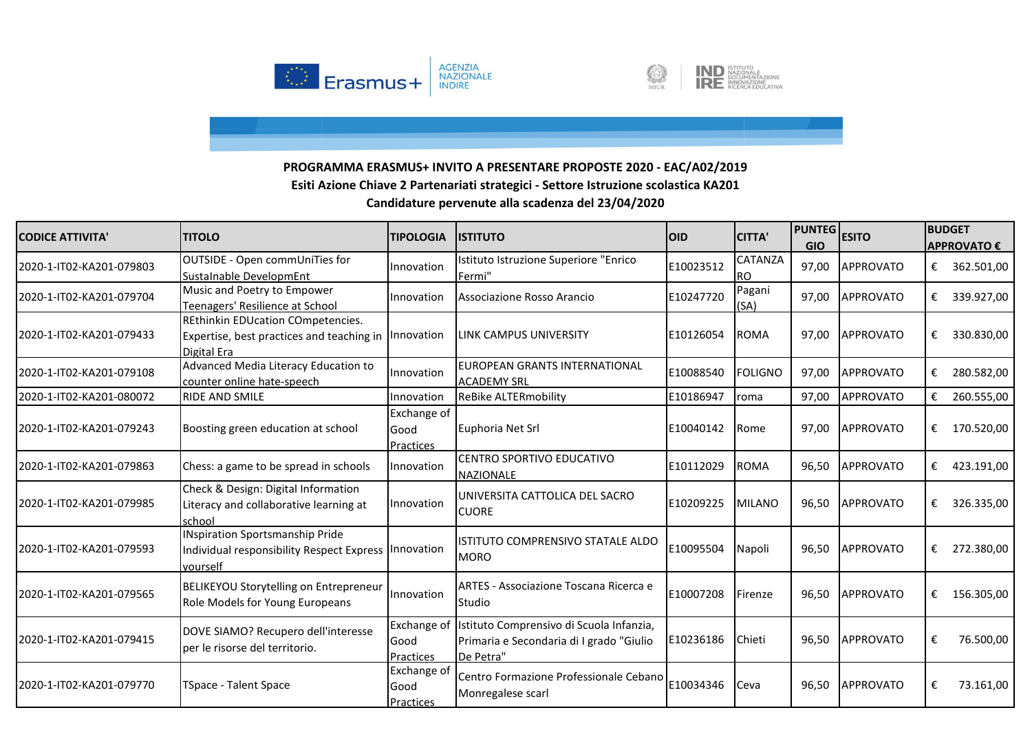



| <b>CODICE ATTIVITA'</b>  | <b>TITOLO</b>                                                                                                | <b>TIPOLOGIA</b>                        | <b>IISTITUTO</b>                                                                                              | <b>OID</b> | <b>CITTA'</b>               | <b>PUNTEG</b><br><b>GIO</b> | <b>ESITO</b>     | <b>BUDGET</b> | <b>APPROVATO €</b> |
|--------------------------|--------------------------------------------------------------------------------------------------------------|-----------------------------------------|---------------------------------------------------------------------------------------------------------------|------------|-----------------------------|-----------------------------|------------------|---------------|--------------------|
| 2020-1-IT02-KA201-079803 | OUTSIDE - Open commUniTies for<br>SustaInable DevelopmEnt                                                    | Innovation                              | Istituto Istruzione Superiore "Enrico<br>Fermi"                                                               | E10023512  | <b>CATANZA</b><br><b>RO</b> | 97,00                       | <b>APPROVATO</b> | €             | 362.501,00         |
| 2020-1-IT02-KA201-079704 | Music and Poetry to Empower<br>Teenagers' Resilience at School                                               | Innovation                              | Associazione Rosso Arancio                                                                                    | E10247720  | Pagani<br>(SA)              | 97,00                       | APPROVATO        | €             | 339.927,00         |
| 2020-1-IT02-KA201-079433 | REthinkin EDUcation COmpetencies.<br>Expertise, best practices and teaching in   Innovation<br>Digital Era   |                                         | <b>LINK CAMPUS UNIVERSITY</b>                                                                                 | E10126054  | <b>ROMA</b>                 | 97,00                       | <b>APPROVATO</b> | €             | 330.830,00         |
| 2020-1-IT02-KA201-079108 | Advanced Media Literacy Education to<br>counter online hate-speech                                           | Innovation                              | <b>EUROPEAN GRANTS INTERNATIONAL</b><br><b>ACADEMY SRL</b>                                                    | E10088540  | <b>FOLIGNO</b>              | 97,00                       | <b>APPROVATO</b> | €             | 280.582,00         |
| 2020-1-IT02-KA201-080072 | <b>RIDE AND SMILE</b>                                                                                        | Innovation                              | <b>ReBike ALTERmobility</b>                                                                                   | E10186947  | roma                        | 97,00                       | <b>APPROVATO</b> | €             | 260.555,00         |
| 2020-1-IT02-KA201-079243 | Boosting green education at school                                                                           | Exchange of<br>Good<br><b>Practices</b> | Euphoria Net Srl                                                                                              | E10040142  | <b>Rome</b>                 | 97,00                       | <b>APPROVATO</b> |               | € 170.520,00       |
| 2020-1-IT02-KA201-079863 | Chess: a game to be spread in schools                                                                        | Innovation                              | CENTRO SPORTIVO EDUCATIVO<br><b>NAZIONALE</b>                                                                 | E10112029  | <b>ROMA</b>                 | 96,50                       | <b>APPROVATO</b> | €             | 423.191,00         |
| 2020-1-IT02-KA201-079985 | Check & Design: Digital Information<br>Literacy and collaborative learning at<br>school                      | Innovation                              | UNIVERSITA CATTOLICA DEL SACRO<br><b>CUORE</b>                                                                | E10209225  | <b>MILANO</b>               | 96,50                       | <b>APPROVATO</b> | €             | 326.335,00         |
| 2020-1-IT02-KA201-079593 | <b>INspiration Sportsmanship Pride</b><br>Individual responsibility Respect Express   Innovation<br>vourself |                                         | <b>ISTITUTO COMPRENSIVO STATALE ALDO</b><br><b>MORO</b>                                                       | E10095504  | Napoli                      | 96,50                       | <b>APPROVATO</b> | €             | 272.380,00         |
| 2020-1-IT02-KA201-079565 | <b>BELIKEYOU Storytelling on Entrepreneur</b><br>Role Models for Young Europeans                             | Innovation                              | ARTES - Associazione Toscana Ricerca e<br><b>Studio</b>                                                       | E10007208  | Firenze                     | 96,50                       | APPROVATO        |               | € 156.305,00       |
| 2020-1-IT02-KA201-079415 | DOVE SIAMO? Recupero dell'interesse<br>per le risorse del territorio.                                        | Good<br><b>Practices</b>                | Exchange of Istituto Comprensivo di Scuola Infanzia,<br>Primaria e Secondaria di I grado "Giulio<br>De Petra" | E10236186  | Chieti                      | 96,50                       | <b>APPROVATO</b> | €             | 76.500,00          |
| 2020-1-IT02-KA201-079770 | TSpace - Talent Space                                                                                        | <b>Exchange of</b><br>Good<br>Practices | Centro Formazione Professionale Cebano<br>Monregalese scarl                                                   | E10034346  | Ceva                        | 96,50                       | <b>APPROVATO</b> | €             | 73.161,00          |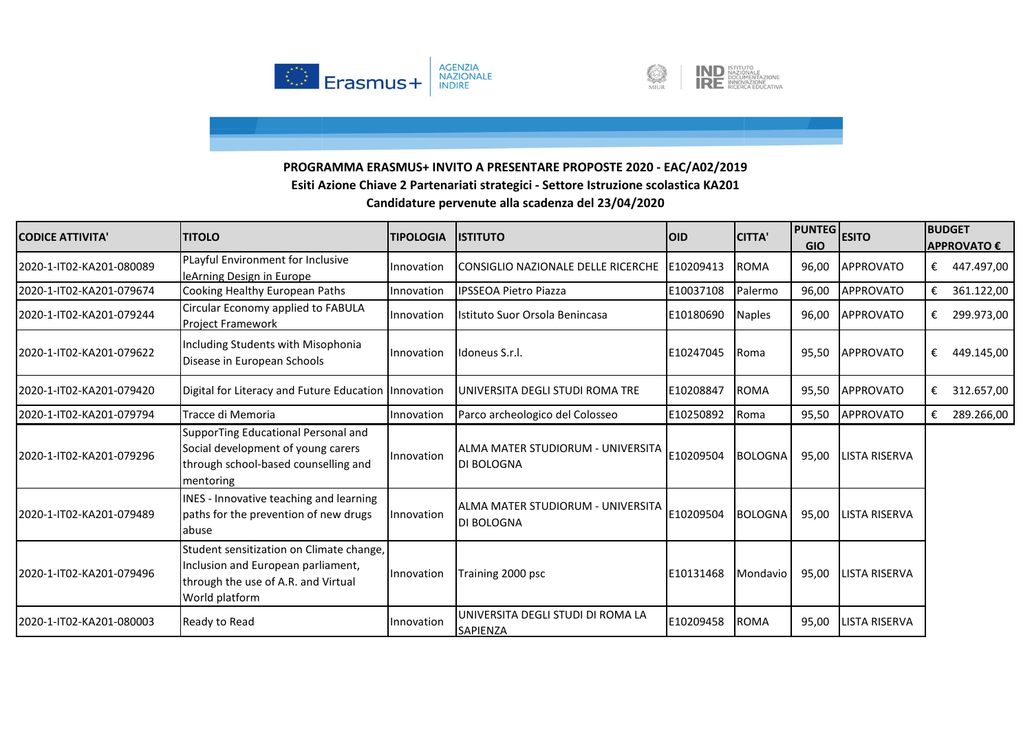



| <b>CODICE ATTIVITA</b>   | <b>TITOLO</b>                                                                                                                           | <b>TIPOLOGIA</b> | <b>IISTITUTO</b>                                       | <b>OID</b> | <b>CITTA'</b>  | <b>PUNTEG</b><br><b>GIO</b> | <b>ESITO</b>         |   | <b>BUDGET</b><br><b>APPROVATO €</b> |
|--------------------------|-----------------------------------------------------------------------------------------------------------------------------------------|------------------|--------------------------------------------------------|------------|----------------|-----------------------------|----------------------|---|-------------------------------------|
| 2020-1-IT02-KA201-080089 | PLayful Environment for Inclusive<br>leArning Design in Europe                                                                          | Innovation       | CONSIGLIO NAZIONALE DELLE RICERCHE                     | E10209413  | <b>ROMA</b>    | 96,00                       | <b>APPROVATO</b>     | € | 447.497,00                          |
| 2020-1-IT02-KA201-079674 | Cooking Healthy European Paths                                                                                                          | Innovation       | <b>IPSSEOA Pietro Piazza</b>                           | E10037108  | Palermo        | 96,00                       | <b>APPROVATO</b>     | € | 361.122,00                          |
| 2020-1-IT02-KA201-079244 | Circular Economy applied to FABULA<br><b>Project Framework</b>                                                                          | Innovation       | Istituto Suor Orsola Benincasa                         | E10180690  | <b>Naples</b>  | 96,00                       | <b>APPROVATO</b>     | € | 299.973,00                          |
| 2020-1-IT02-KA201-079622 | Including Students with Misophonia<br>Disease in European Schools                                                                       | Innovation       | Idoneus S.r.I.                                         | E10247045  | Roma           | 95,50                       | <b>APPROVATO</b>     | € | 449.145,00                          |
| 2020-1-IT02-KA201-079420 | Digital for Literacy and Future Education Innovation                                                                                    |                  | UNIVERSITA DEGLI STUDI ROMA TRE                        | E10208847  | <b>ROMA</b>    | 95,50                       | <b>APPROVATO</b>     | € | 312.657,00                          |
| 2020-1-IT02-KA201-079794 | Tracce di Memoria                                                                                                                       | Innovation       | Parco archeologico del Colosseo                        | E10250892  | Roma           | 95,50                       | <b>APPROVATO</b>     | € | 289.266,00                          |
| 2020-1-IT02-KA201-079296 | SupporTing Educational Personal and<br>Social development of young carers<br>through school-based counselling and<br>mentoring          | Innovation       | ALMA MATER STUDIORUM - UNIVERSITA<br><b>DI BOLOGNA</b> | E10209504  | <b>BOLOGNA</b> | 95,00                       | <b>LISTA RISERVA</b> |   |                                     |
| 2020-1-IT02-KA201-079489 | INES - Innovative teaching and learning<br>paths for the prevention of new drugs<br>labuse                                              | Innovation       | ALMA MATER STUDIORUM - UNIVERSITA<br>DI BOLOGNA        | E10209504  | <b>BOLOGNA</b> | 95,00                       | LISTA RISERVA        |   |                                     |
| 2020-1-IT02-KA201-079496 | Student sensitization on Climate change,<br>Inclusion and European parliament,<br>through the use of A.R. and Virtual<br>World platform | Innovation       | Training 2000 psc                                      | E10131468  | Mondavio       | 95,00                       | <b>LISTA RISERVA</b> |   |                                     |
| 2020-1-IT02-KA201-080003 | Ready to Read                                                                                                                           | Innovation       | UNIVERSITA DEGLI STUDI DI ROMA LA<br><b>SAPIENZA</b>   | E10209458  | <b>ROMA</b>    | 95,00                       | LISTA RISERVA        |   |                                     |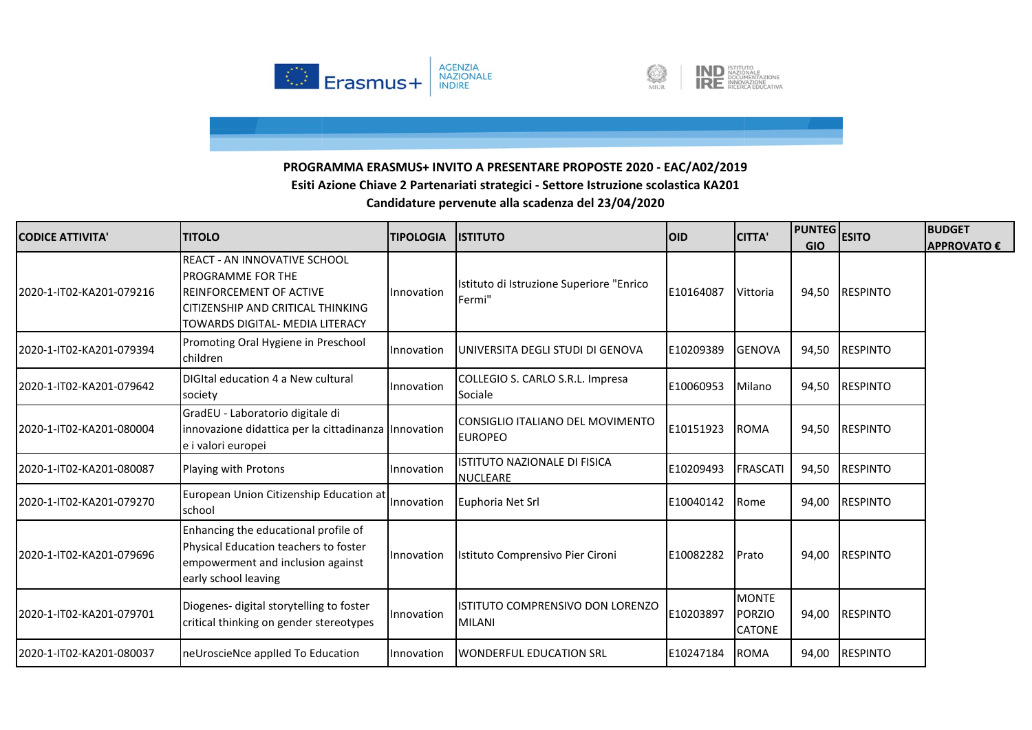



| <b>CODICE ATTIVITA'</b>  | <b>TITOLO</b>                                                                                                                                                             | <b>TIPOLOGIA</b> | <b>ISTITUTO</b>                                    | <b>OID</b> | <b>CITTA'</b>                                  | <b>PUNTEG</b><br><b>GIO</b> | <b>ESITO</b>    | <b>BUDGET</b><br>APPROVATO € |
|--------------------------|---------------------------------------------------------------------------------------------------------------------------------------------------------------------------|------------------|----------------------------------------------------|------------|------------------------------------------------|-----------------------------|-----------------|------------------------------|
| 2020-1-IT02-KA201-079216 | <b>REACT - AN INNOVATIVE SCHOOL</b><br><b>PROGRAMME FOR THE</b><br><b>REINFORCEMENT OF ACTIVE</b><br>CITIZENSHIP AND CRITICAL THINKING<br>TOWARDS DIGITAL- MEDIA LITERACY | Innovation       | Istituto di Istruzione Superiore "Enrico<br>Fermi" | E10164087  | Vittoria                                       | 94,50                       | <b>RESPINTO</b> |                              |
| 2020-1-IT02-KA201-079394 | Promoting Oral Hygiene in Preschool<br>children                                                                                                                           | Innovation       | UNIVERSITA DEGLI STUDI DI GENOVA                   | E10209389  | <b>GENOVA</b>                                  | 94,50                       | <b>RESPINTO</b> |                              |
| 2020-1-IT02-KA201-079642 | DIGItal education 4 a New cultural<br>society                                                                                                                             | Innovation       | COLLEGIO S. CARLO S.R.L. Impresa<br>Sociale        | E10060953  | Milano                                         | 94,50                       | <b>RESPINTO</b> |                              |
| 2020-1-IT02-KA201-080004 | GradEU - Laboratorio digitale di<br>innovazione didattica per la cittadinanza Innovation<br>e i valori europei                                                            |                  | CONSIGLIO ITALIANO DEL MOVIMENTO<br><b>EUROPEO</b> | E10151923  | <b>ROMA</b>                                    | 94,50                       | <b>RESPINTO</b> |                              |
| 2020-1-IT02-KA201-080087 | Playing with Protons                                                                                                                                                      | Innovation       | ISTITUTO NAZIONALE DI FISICA<br><b>NUCLEARE</b>    | E10209493  | <b>FRASCATI</b>                                | 94,50                       | <b>RESPINTO</b> |                              |
| 2020-1-IT02-KA201-079270 | European Union Citizenship Education at<br>school                                                                                                                         | Innovation       | Euphoria Net Srl                                   | E10040142  | Rome                                           | 94,00                       | <b>RESPINTO</b> |                              |
| 2020-1-IT02-KA201-079696 | Enhancing the educational profile of<br>Physical Education teachers to foster<br>empowerment and inclusion against<br>early school leaving                                | Innovation       | Istituto Comprensivo Pier Cironi                   | E10082282  | Prato                                          | 94,00                       | <b>RESPINTO</b> |                              |
| 2020-1-IT02-KA201-079701 | Diogenes- digital storytelling to foster<br>critical thinking on gender stereotypes                                                                                       | Innovation       | ISTITUTO COMPRENSIVO DON LORENZO<br><b>MILANI</b>  | E10203897  | <b>MONTE</b><br><b>PORZIO</b><br><b>CATONE</b> | 94,00                       | <b>RESPINTO</b> |                              |
| 2020-1-IT02-KA201-080037 | neUroscieNce applled To Education                                                                                                                                         | Innovation       | <b>WONDERFUL EDUCATION SRL</b>                     | E10247184  | <b>ROMA</b>                                    | 94,00                       | <b>RESPINTO</b> |                              |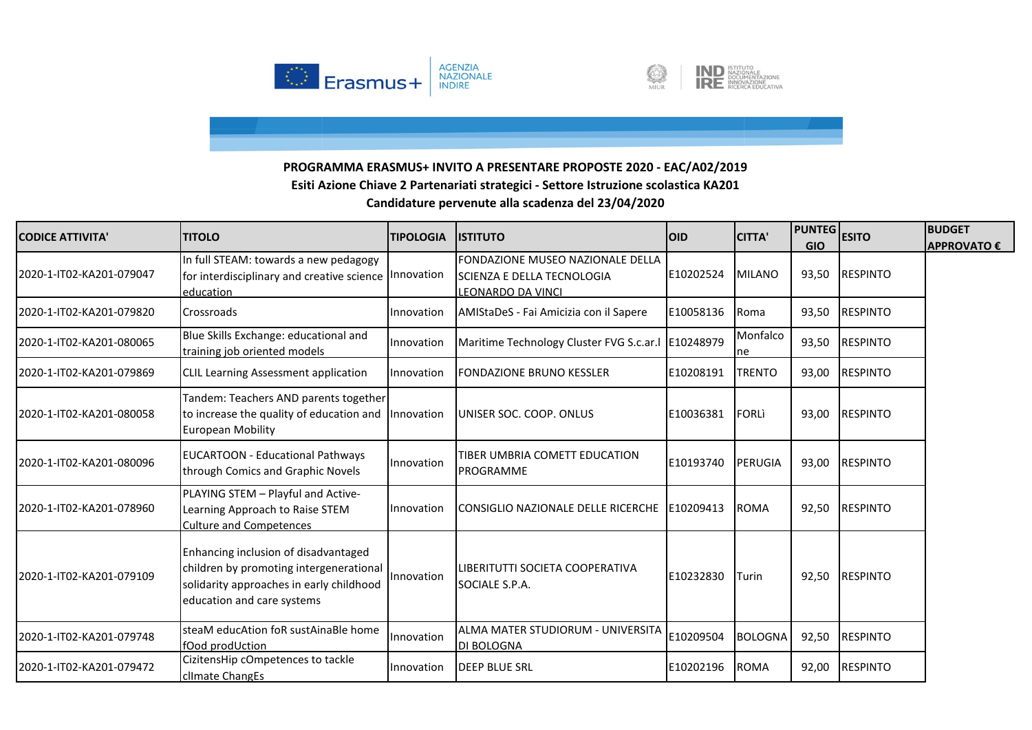



| <b>CODICE ATTIVITA'</b>  | <b>TITOLO</b>                                                                                                                                             | <b>TIPOLOGIA</b> | <b>IISTITUTO</b>                                                                                   | <b>OID</b> | <b>CITTA'</b>  | <b>PUNTEG</b><br><b>GIO</b> | <b>ESITO</b>    | <b>BUDGET</b><br><b>APPROVATO €</b> |
|--------------------------|-----------------------------------------------------------------------------------------------------------------------------------------------------------|------------------|----------------------------------------------------------------------------------------------------|------------|----------------|-----------------------------|-----------------|-------------------------------------|
| 2020-1-IT02-KA201-079047 | In full STEAM: towards a new pedagogy<br>for interdisciplinary and creative science Innovation<br>education                                               |                  | <b>FONDAZIONE MUSEO NAZIONALE DELLA</b><br><b>ISCIENZA E DELLA TECNOLOGIA</b><br>LEONARDO DA VINCI | E10202524  | <b>MILANO</b>  | 93,50                       | <b>RESPINTO</b> |                                     |
| 2020-1-IT02-KA201-079820 | Crossroads                                                                                                                                                | Innovation       | AMIStaDeS - Fai Amicizia con il Sapere                                                             | E10058136  | Roma           | 93,50                       | <b>RESPINTO</b> |                                     |
| 2020-1-IT02-KA201-080065 | Blue Skills Exchange: educational and<br>training job oriented models                                                                                     | Innovation       | Maritime Technology Cluster FVG S.c.ar.I   E10248979                                               |            | Monfalco<br>ne | 93,50                       | <b>RESPINTO</b> |                                     |
| 2020-1-IT02-KA201-079869 | <b>CLIL Learning Assessment application</b>                                                                                                               | Innovation       | <b>FONDAZIONE BRUNO KESSLER</b>                                                                    | E10208191  | <b>TRENTO</b>  | 93,00                       | <b>RESPINTO</b> |                                     |
| 2020-1-IT02-KA201-080058 | Tandem: Teachers AND parents together<br>to increase the quality of education and Innovation<br><b>European Mobility</b>                                  |                  | UNISER SOC. COOP. ONLUS                                                                            | E10036381  | <b>FORLI</b>   | 93,00                       | <b>RESPINTO</b> |                                     |
| 2020-1-IT02-KA201-080096 | <b>EUCARTOON - Educational Pathways</b><br>through Comics and Graphic Novels                                                                              | Innovation       | TIBER UMBRIA COMETT EDUCATION<br><b>PROGRAMME</b>                                                  | E10193740  | PERUGIA        | 93,00                       | <b>RESPINTO</b> |                                     |
| 2020-1-IT02-KA201-078960 | PLAYING STEM - Playful and Active-<br>Learning Approach to Raise STEM<br><b>Culture and Competences</b>                                                   | Innovation       | CONSIGLIO NAZIONALE DELLE RICERCHE E10209413                                                       |            | <b>ROMA</b>    | 92,50                       | <b>RESPINTO</b> |                                     |
| 2020-1-IT02-KA201-079109 | Enhancing inclusion of disadvantaged<br>children by promoting intergenerational<br>solidarity approaches in early childhood<br>education and care systems | Innovation       | LIBERITUTTI SOCIETA COOPERATIVA<br>SOCIALE S.P.A.                                                  | E10232830  | Turin          | 92,50                       | <b>RESPINTO</b> |                                     |
| 2020-1-IT02-KA201-079748 | steaM educAtion foR sustAinaBle home<br>fOod prodUction                                                                                                   | Innovation       | lalma mater studiorum - universita<br><b>DI BOLOGNA</b>                                            | E10209504  | <b>BOLOGNA</b> | 92,50                       | <b>RESPINTO</b> |                                     |
| 2020-1-IT02-KA201-079472 | CizitensHip cOmpetences to tackle<br>climate ChangEs                                                                                                      | Innovation       | <b>DEEP BLUE SRL</b>                                                                               | E10202196  | <b>ROMA</b>    | 92,00                       | <b>RESPINTO</b> |                                     |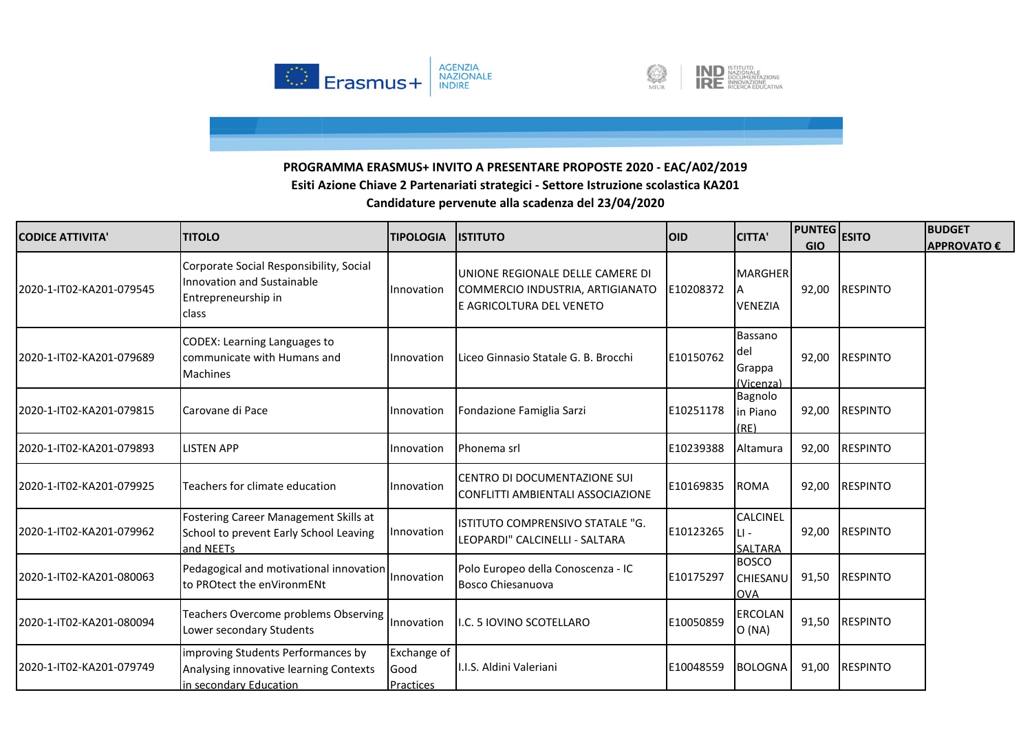



| <b>CODICE ATTIVITA'</b>  | <b>TITOLO</b>                                                                                          | <b>TIPOLOGIA</b>                 | <b>ISTITUTO</b>                                                                                  | <b>OID</b> | <b>CITTA'</b>                              | <b>PUNTEG</b> ESITO<br><b>GIO</b> |                 | <b>BUDGET</b><br><b>APPROVATO €</b> |
|--------------------------|--------------------------------------------------------------------------------------------------------|----------------------------------|--------------------------------------------------------------------------------------------------|------------|--------------------------------------------|-----------------------------------|-----------------|-------------------------------------|
| 2020-1-IT02-KA201-079545 | Corporate Social Responsibility, Social<br>Innovation and Sustainable<br>Entrepreneurship in<br>class  | Innovation                       | UNIONE REGIONALE DELLE CAMERE DI<br>COMMERCIO INDUSTRIA, ARTIGIANATO<br>E AGRICOLTURA DEL VENETO | E10208372  | <b>MARGHER</b><br>А<br><b>VENEZIA</b>      | 92,00                             | <b>RESPINTO</b> |                                     |
| 2020-1-IT02-KA201-079689 | CODEX: Learning Languages to<br>communicate with Humans and<br>Machines                                | Innovation                       | Liceo Ginnasio Statale G. B. Brocchi                                                             | E10150762  | Bassano<br>del<br>Grappa<br>(Vicenza)      |                                   | 92,00 RESPINTO  |                                     |
| 2020-1-IT02-KA201-079815 | Carovane di Pace                                                                                       | Innovation                       | Fondazione Famiglia Sarzi                                                                        | E10251178  | Bagnolo<br>in Piano<br>(RE)                | 92,00                             | <b>RESPINTO</b> |                                     |
| 2020-1-IT02-KA201-079893 | <b>LISTEN APP</b>                                                                                      | Innovation                       | Phonema srl                                                                                      | E10239388  | Altamura                                   | 92,00                             | <b>RESPINTO</b> |                                     |
| 2020-1-IT02-KA201-079925 | Teachers for climate education                                                                         | Innovation                       | CENTRO DI DOCUMENTAZIONE SUI<br>CONFLITTI AMBIENTALI ASSOCIAZIONE                                | E10169835  | <b>ROMA</b>                                | 92,00                             | <b>RESPINTO</b> |                                     |
| 2020-1-IT02-KA201-079962 | Fostering Career Management Skills at<br>School to prevent Early School Leaving<br>and NEETs           | Innovation                       | ISTITUTO COMPRENSIVO STATALE "G.<br>LEOPARDI" CALCINELLI - SALTARA                               | E10123265  | <b>CALCINEL</b><br>$\mathbf{H}$<br>SALTARA | 92,00                             | <b>RESPINTO</b> |                                     |
| 2020-1-IT02-KA201-080063 | Pedagogical and motivational innovation<br>to PROtect the enVironmENt                                  | Innovation                       | Polo Europeo della Conoscenza - IC<br>Bosco Chiesanuova                                          | E10175297  | <b>BOSCO</b><br>CHIESANU<br><b>OVA</b>     | 91,50                             | <b>RESPINTO</b> |                                     |
| 2020-1-IT02-KA201-080094 | Teachers Overcome problems Observing<br>Lower secondary Students                                       | Innovation                       | .C. 5 IOVINO SCOTELLARO                                                                          | E10050859  | <b>ERCOLAN</b><br>O(NA)                    |                                   | 91,50 RESPINTO  |                                     |
| 2020-1-IT02-KA201-079749 | improving Students Performances by<br>Analysing innovative learning Contexts<br>in secondary Education | Exchange of<br>Good<br>Practices | I.I.S. Aldini Valeriani                                                                          | E10048559  | <b>BOLOGNA</b>                             | 91,00                             | <b>RESPINTO</b> |                                     |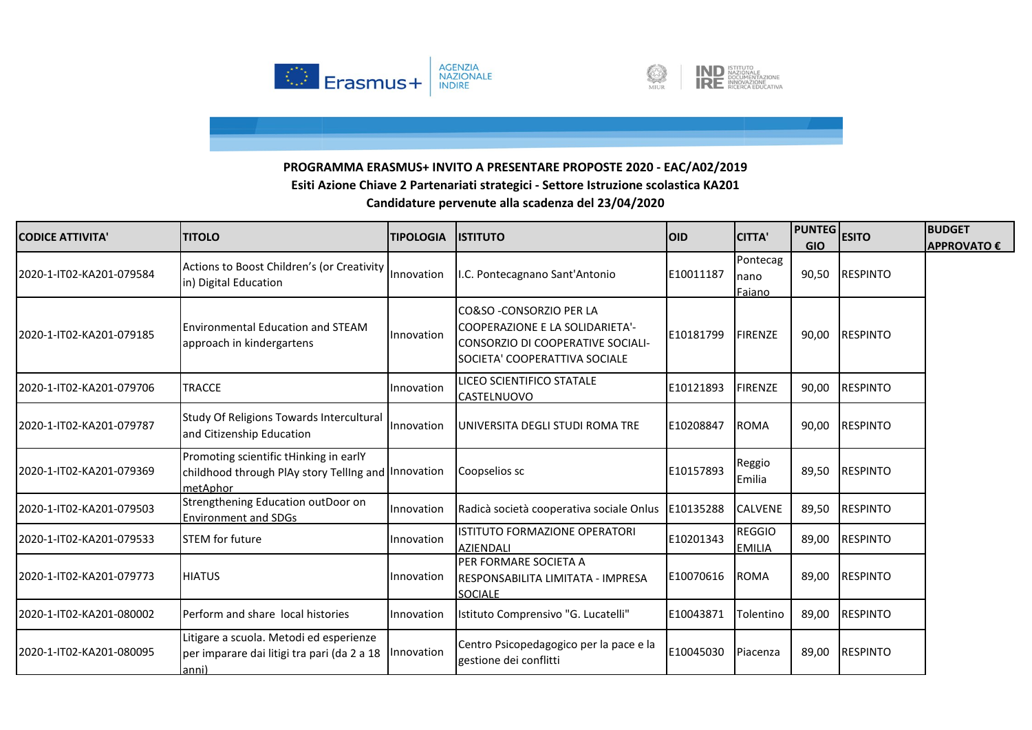



| <b>CODICE ATTIVITA'</b>  | <b>TITOLO</b>                                                                                             | <b>TIPOLOGIA</b> | <b>ISTITUTO</b>                                                                                                                          | <b>OID</b> | <b>CITTA'</b>                  | <b>PUNTEG</b> ESITO<br><b>GIO</b> |                 | <b>BUDGET</b><br><b>APPROVATO €</b> |
|--------------------------|-----------------------------------------------------------------------------------------------------------|------------------|------------------------------------------------------------------------------------------------------------------------------------------|------------|--------------------------------|-----------------------------------|-----------------|-------------------------------------|
| 2020-1-IT02-KA201-079584 | Actions to Boost Children's (or Creativity<br>in) Digital Education                                       | Innovation       | .C. Pontecagnano Sant'Antonio                                                                                                            | E10011187  | Pontecag<br>nano<br>Faiano     | 90,50                             | <b>RESPINTO</b> |                                     |
| 2020-1-IT02-KA201-079185 | <b>Environmental Education and STEAM</b><br>approach in kindergartens                                     | Innovation       | CO&SO - CONSORZIO PER LA<br><b>COOPERAZIONE E LA SOLIDARIETA'-</b><br>CONSORZIO DI COOPERATIVE SOCIALI-<br>SOCIETA' COOPERATTIVA SOCIALE | E10181799  | <b>FIRENZE</b>                 | 90,00                             | <b>RESPINTO</b> |                                     |
| 2020-1-IT02-KA201-079706 | <b>TRACCE</b>                                                                                             | Innovation       | LICEO SCIENTIFICO STATALE<br><b>CASTELNUOVO</b>                                                                                          | E10121893  | FIRENZE                        | 90,00                             | <b>RESPINTO</b> |                                     |
| 2020-1-IT02-KA201-079787 | Study Of Religions Towards Intercultural<br>and Citizenship Education                                     | Innovation       | UNIVERSITA DEGLI STUDI ROMA TRE                                                                                                          | E10208847  | <b>ROMA</b>                    | 90,00                             | <b>RESPINTO</b> |                                     |
| 2020-1-IT02-KA201-079369 | Promoting scientific tHinking in earlY<br>childhood through PIAy story Telling and Innovation<br>metAphor |                  | Coopselios sc                                                                                                                            | E10157893  | Reggio<br>Emilia               | 89,50                             | <b>RESPINTO</b> |                                     |
| 2020-1-IT02-KA201-079503 | Strengthening Education outDoor on<br><b>Environment and SDGs</b>                                         | Innovation       | Radicà società cooperativa sociale Onlus                                                                                                 | E10135288  | <b>CALVENE</b>                 | 89,50                             | <b>RESPINTO</b> |                                     |
| 2020-1-IT02-KA201-079533 | <b>STEM</b> for future                                                                                    | Innovation       | ISTITUTO FORMAZIONE OPERATORI<br><b>AZIENDALI</b>                                                                                        | E10201343  | <b>REGGIO</b><br><b>EMILIA</b> | 89,00                             | <b>RESPINTO</b> |                                     |
| 2020-1-IT02-KA201-079773 | <b>HIATUS</b>                                                                                             | Innovation       | PER FORMARE SOCIETA A<br>RESPONSABILITA LIMITATA - IMPRESA<br><b>SOCIALE</b>                                                             | E10070616  | <b>ROMA</b>                    | 89,00                             | <b>RESPINTO</b> |                                     |
| 2020-1-IT02-KA201-080002 | Perform and share local histories                                                                         | Innovation       | Istituto Comprensivo "G. Lucatelli"                                                                                                      | E10043871  | Tolentino                      | 89,00                             | <b>RESPINTO</b> |                                     |
| 2020-1-IT02-KA201-080095 | Litigare a scuola. Metodi ed esperienze<br>per imparare dai litigi tra pari (da 2 a 18<br>anni)           | Innovation       | Centro Psicopedagogico per la pace e la<br>gestione dei conflitti                                                                        | E10045030  | Piacenza                       | 89,00                             | <b>RESPINTO</b> |                                     |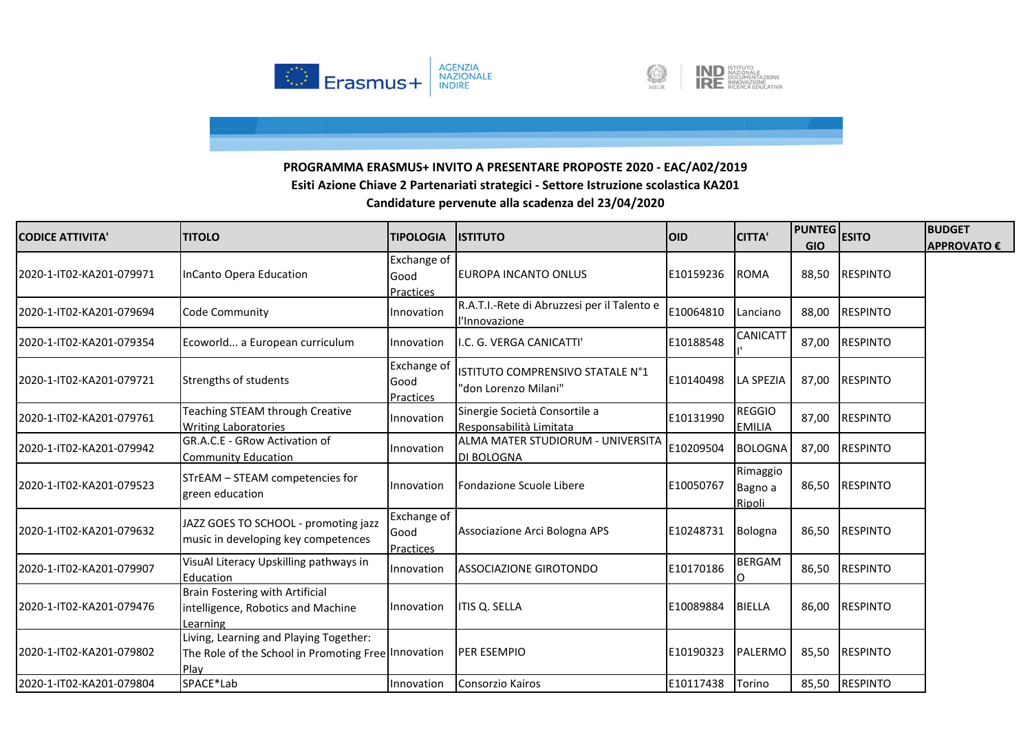



| <b>CODICE ATTIVITA'</b>  | <b>TITOLO</b>                                                                                         | <b>TIPOLOGIA</b>                        | <b>ISTITUTO</b>                                              | <b>OID</b> | <b>CITTA'</b>                  | <b>PUNTEG</b> ESITO<br><b>GIO</b> |                 | <b>BUDGET</b><br><b>APPROVATO €</b> |
|--------------------------|-------------------------------------------------------------------------------------------------------|-----------------------------------------|--------------------------------------------------------------|------------|--------------------------------|-----------------------------------|-----------------|-------------------------------------|
| 2020-1-IT02-KA201-079971 | InCanto Opera Education                                                                               | <b>Exchange of</b><br>Good<br>Practices | EUROPA INCANTO ONLUS                                         | E10159236  | <b>ROMA</b>                    | 88,50                             | <b>RESPINTO</b> |                                     |
| 2020-1-IT02-KA201-079694 | <b>Code Community</b>                                                                                 | Innovation                              | R.A.T.I.-Rete di Abruzzesi per il Talento e<br>l'Innovazione | E10064810  | Lanciano                       | 88,00                             | <b>RESPINTO</b> |                                     |
| 2020-1-IT02-KA201-079354 | Ecoworld a European curriculum                                                                        | Innovation                              | I.C. G. VERGA CANICATTI'                                     | E10188548  | CANICATT                       | 87,00                             | <b>RESPINTO</b> |                                     |
| 2020-1-IT02-KA201-079721 | Strengths of students                                                                                 | Exchange of<br>Good<br><b>Practices</b> | ISTITUTO COMPRENSIVO STATALE N°1<br>"don Lorenzo Milani"     | E10140498  | <b>LA SPEZIA</b>               | 87,00                             | <b>RESPINTO</b> |                                     |
| 2020-1-IT02-KA201-079761 | Teaching STEAM through Creative<br><b>Writing Laboratories</b>                                        | Innovation                              | Sinergie Società Consortile a<br>Responsabilità Limitata     | E10131990  | <b>REGGIO</b><br><b>EMILIA</b> | 87,00                             | <b>RESPINTO</b> |                                     |
| 2020-1-IT02-KA201-079942 | GR.A.C.E - GRow Activation of<br><b>Community Education</b>                                           | Innovation                              | ALMA MATER STUDIORUM - UNIVERSITA<br><b>DI BOLOGNA</b>       | E10209504  | <b>BOLOGNA</b>                 | 87,00                             | <b>RESPINTO</b> |                                     |
| 2020-1-IT02-KA201-079523 | STrEAM - STEAM competencies for<br>green education                                                    | Innovation                              | Fondazione Scuole Libere                                     | E10050767  | Rimaggio<br>Bagno a<br>Ripoli  | 86,50                             | <b>RESPINTO</b> |                                     |
| 2020-1-IT02-KA201-079632 | JAZZ GOES TO SCHOOL - promoting jazz<br>music in developing key competences                           | Exchange of<br>Good<br>Practices        | Associazione Arci Bologna APS                                | E10248731  | Bologna                        | 86,50                             | <b>RESPINTO</b> |                                     |
| 2020-1-IT02-KA201-079907 | VisuAl Literacy Upskilling pathways in<br>Education                                                   | Innovation                              | <b>ASSOCIAZIONE GIROTONDO</b>                                | E10170186  | <b>BERGAM</b><br>ი             | 86,50                             | <b>RESPINTO</b> |                                     |
| 2020-1-IT02-KA201-079476 | <b>Brain Fostering with Artificial</b><br>intelligence, Robotics and Machine<br>Learning              | Innovation                              | ITIS Q. SELLA                                                | E10089884  | <b>BIELLA</b>                  | 86,00                             | <b>RESPINTO</b> |                                     |
| 2020-1-IT02-KA201-079802 | Living, Learning and Playing Together:<br>The Role of the School in Promoting Free Innovation<br>Play |                                         | <b>PER ESEMPIO</b>                                           | E10190323  | PALERMO                        | 85,50                             | <b>RESPINTO</b> |                                     |
| 2020-1-IT02-KA201-079804 | SPACE*Lab                                                                                             | Innovation                              | Consorzio Kairos                                             | E10117438  | Torino                         |                                   | 85,50 RESPINTO  |                                     |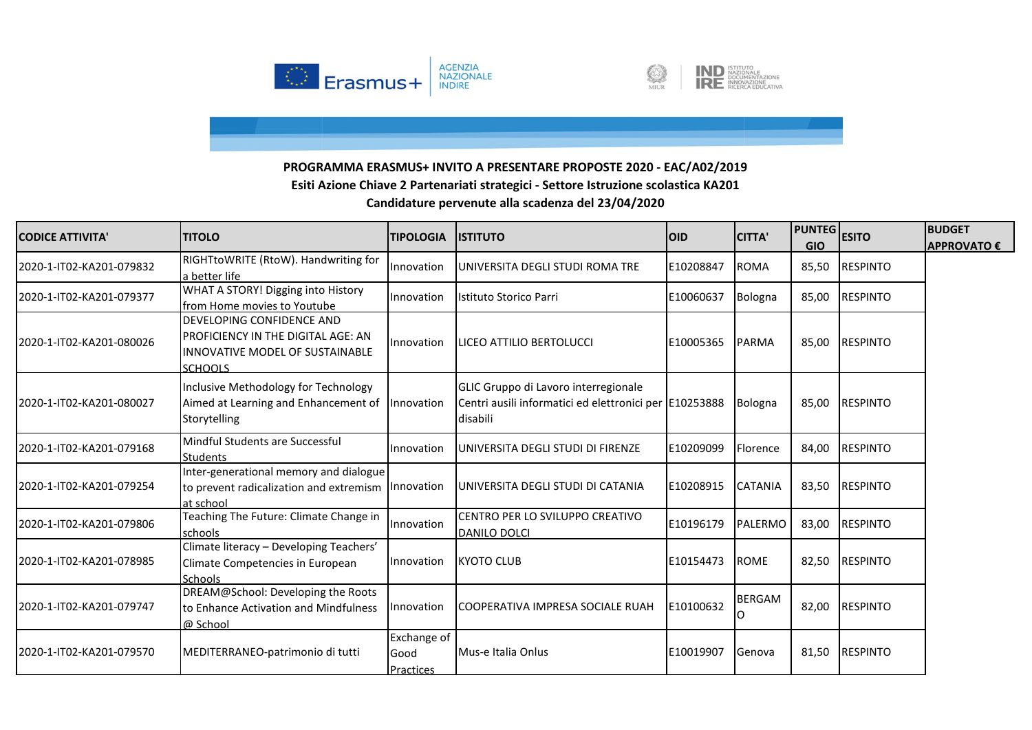



| <b>CODICE ATTIVITA'</b>  | <b>ITITOLO</b>                                                                                                              | <b>TIPOLOGIA</b>                 | <b>ISTITUTO</b>                                                                                            | <b>OID</b> | <b>CITTA'</b>  | <b>PUNTEG</b><br><b>GIO</b> | <b>ESITO</b>    | <b>BUDGET</b><br><b>APPROVATO €</b> |
|--------------------------|-----------------------------------------------------------------------------------------------------------------------------|----------------------------------|------------------------------------------------------------------------------------------------------------|------------|----------------|-----------------------------|-----------------|-------------------------------------|
| 2020-1-IT02-KA201-079832 | RIGHTtoWRITE (RtoW). Handwriting for<br>a better life                                                                       | Innovation                       | UNIVERSITA DEGLI STUDI ROMA TRE                                                                            | E10208847  | <b>ROMA</b>    | 85,50                       | <b>RESPINTO</b> |                                     |
| 2020-1-IT02-KA201-079377 | WHAT A STORY! Digging into History<br>from Home movies to Youtube                                                           | Innovation                       | Istituto Storico Parri                                                                                     | E10060637  | Bologna        | 85,00                       | <b>RESPINTO</b> |                                     |
| 2020-1-IT02-KA201-080026 | DEVELOPING CONFIDENCE AND<br><b>PROFICIENCY IN THE DIGITAL AGE: AN</b><br>INNOVATIVE MODEL OF SUSTAINABLE<br><b>SCHOOLS</b> | Innovation                       | LICEO ATTILIO BERTOLUCCI                                                                                   | E10005365  | <b>PARMA</b>   | 85,00                       | <b>RESPINTO</b> |                                     |
| 2020-1-IT02-KA201-080027 | Inclusive Methodology for Technology<br>Aimed at Learning and Enhancement of<br>Storytelling                                | Innovation                       | GLIC Gruppo di Lavoro interregionale<br>Centri ausili informatici ed elettronici per E10253888<br>disabili |            | <b>Bologna</b> | 85,00                       | <b>RESPINTO</b> |                                     |
| 2020-1-IT02-KA201-079168 | Mindful Students are Successful<br><b>Students</b>                                                                          | Innovation                       | UNIVERSITA DEGLI STUDI DI FIRENZE                                                                          | E10209099  | Florence       | 84,00                       | <b>RESPINTO</b> |                                     |
| 2020-1-IT02-KA201-079254 | Inter-generational memory and dialogue<br>to prevent radicalization and extremism<br>at school                              | nnovation                        | UNIVERSITA DEGLI STUDI DI CATANIA                                                                          | E10208915  | <b>CATANIA</b> | 83,50                       | <b>RESPINTO</b> |                                     |
| 2020-1-IT02-KA201-079806 | Teaching The Future: Climate Change in<br>schools                                                                           | Innovation                       | CENTRO PER LO SVILUPPO CREATIVO<br>DANILO DOLCI                                                            | E10196179  | <b>PALERMO</b> | 83,00                       | <b>RESPINTO</b> |                                     |
| 2020-1-IT02-KA201-078985 | Climate literacy - Developing Teachers'<br>Climate Competencies in European<br><b>Schools</b>                               | Innovation                       | <b>KYOTO CLUB</b>                                                                                          | E10154473  | <b>ROME</b>    | 82,50                       | <b>RESPINTO</b> |                                     |
| 2020-1-IT02-KA201-079747 | DREAM@School: Developing the Roots<br>to Enhance Activation and Mindfulness<br>@ School                                     | nnovation                        | COOPERATIVA IMPRESA SOCIALE RUAH                                                                           | E10100632  | BERGAM         | 82,00                       | <b>RESPINTO</b> |                                     |
| 2020-1-IT02-KA201-079570 | MEDITERRANEO-patrimonio di tutti                                                                                            | Exchange of<br>Good<br>Practices | Mus-e Italia Onlus                                                                                         | E10019907  | Genova         | 81,50                       | <b>RESPINTO</b> |                                     |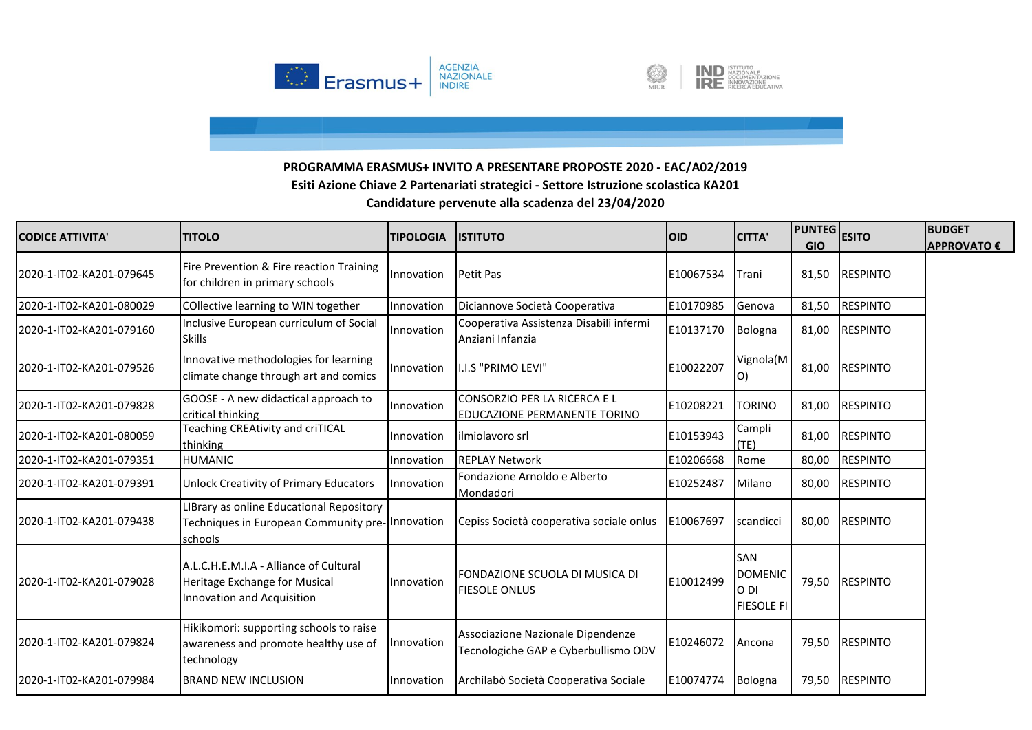



| <b>CODICE ATTIVITA</b>   | <b>ITITOLO</b>                                                                                         | <b>TIPOLOGIA</b> | <b>IISTITUTO</b>                                                          | <b>IOID</b> | <b>CITTA'</b>                                             | <b>PUNTEG</b><br><b>GIO</b> | <b>ESITO</b>    | <b>BUDGET</b><br><b>APPROVATO €</b> |
|--------------------------|--------------------------------------------------------------------------------------------------------|------------------|---------------------------------------------------------------------------|-------------|-----------------------------------------------------------|-----------------------------|-----------------|-------------------------------------|
| 2020-1-IT02-KA201-079645 | Fire Prevention & Fire reaction Training<br>for children in primary schools                            | Innovation       | Petit Pas                                                                 | E10067534   | Trani                                                     | 81,50                       | <b>RESPINTO</b> |                                     |
| 2020-1-IT02-KA201-080029 | COllective learning to WIN together                                                                    | Innovation       | Diciannove Società Cooperativa                                            | E10170985   | Genova                                                    | 81,50                       | <b>RESPINTO</b> |                                     |
| 2020-1-IT02-KA201-079160 | Inclusive European curriculum of Social<br><b>Skills</b>                                               | Innovation       | Cooperativa Assistenza Disabili infermi<br>Anziani Infanzia               | E10137170   | Bologna                                                   | 81,00                       | <b>RESPINTO</b> |                                     |
| 2020-1-IT02-KA201-079526 | Innovative methodologies for learning<br>climate change through art and comics                         | Innovation       | I.I.S "PRIMO LEVI"                                                        | E10022207   | Vignola(M<br>O)                                           | 81,00                       | <b>RESPINTO</b> |                                     |
| 2020-1-IT02-KA201-079828 | GOOSE - A new didactical approach to<br>critical thinking                                              | Innovation       | CONSORZIO PER LA RICERCA E L<br><b>EDUCAZIONE PERMANENTE TORINO</b>       | E10208221   | <b>TORINO</b>                                             | 81,00                       | <b>RESPINTO</b> |                                     |
| 2020-1-IT02-KA201-080059 | Teaching CREAtivity and criTICAL<br>thinking                                                           | Innovation       | ilmiolavoro srl                                                           | E10153943   | Campli<br>(TE)                                            | 81,00                       | <b>RESPINTO</b> |                                     |
| 2020-1-IT02-KA201-079351 | <b>HUMANIC</b>                                                                                         | Innovation       | <b>REPLAY Network</b>                                                     | E10206668   | Rome                                                      | 80,00                       | <b>RESPINTO</b> |                                     |
| 2020-1-IT02-KA201-079391 | <b>Unlock Creativity of Primary Educators</b>                                                          | Innovation       | Fondazione Arnoldo e Alberto<br>Mondadori                                 | E10252487   | Milano                                                    | 80,00                       | <b>RESPINTO</b> |                                     |
| 2020-1-IT02-KA201-079438 | LIBrary as online Educational Repository<br>Techniques in European Community pre-lnnovation<br>schools |                  | Cepiss Società cooperativa sociale onlus                                  | E10067697   | scandicci                                                 | 80,00                       | <b>RESPINTO</b> |                                     |
| 2020-1-IT02-KA201-079028 | A.L.C.H.E.M.I.A - Alliance of Cultural<br>Heritage Exchange for Musical<br>Innovation and Acquisition  | Innovation       | lfondazione scuola di musica di<br><b>FIESOLE ONLUS</b>                   | E10012499   | <b>SAN</b><br><b>DOMENIC</b><br>O DI<br><b>FIESOLE FI</b> | 79,50                       | <b>RESPINTO</b> |                                     |
| 2020-1-IT02-KA201-079824 | Hikikomori: supporting schools to raise<br>awareness and promote healthy use of<br>technology          | Innovation       | Associazione Nazionale Dipendenze<br>Tecnologiche GAP e Cyberbullismo ODV | E10246072   | Ancona                                                    | 79,50                       | <b>RESPINTO</b> |                                     |
| 2020-1-IT02-KA201-079984 | <b>BRAND NEW INCLUSION</b>                                                                             | Innovation       | Archilabò Società Cooperativa Sociale                                     | E10074774   | <b>Bologna</b>                                            | 79,50                       | <b>RESPINTO</b> |                                     |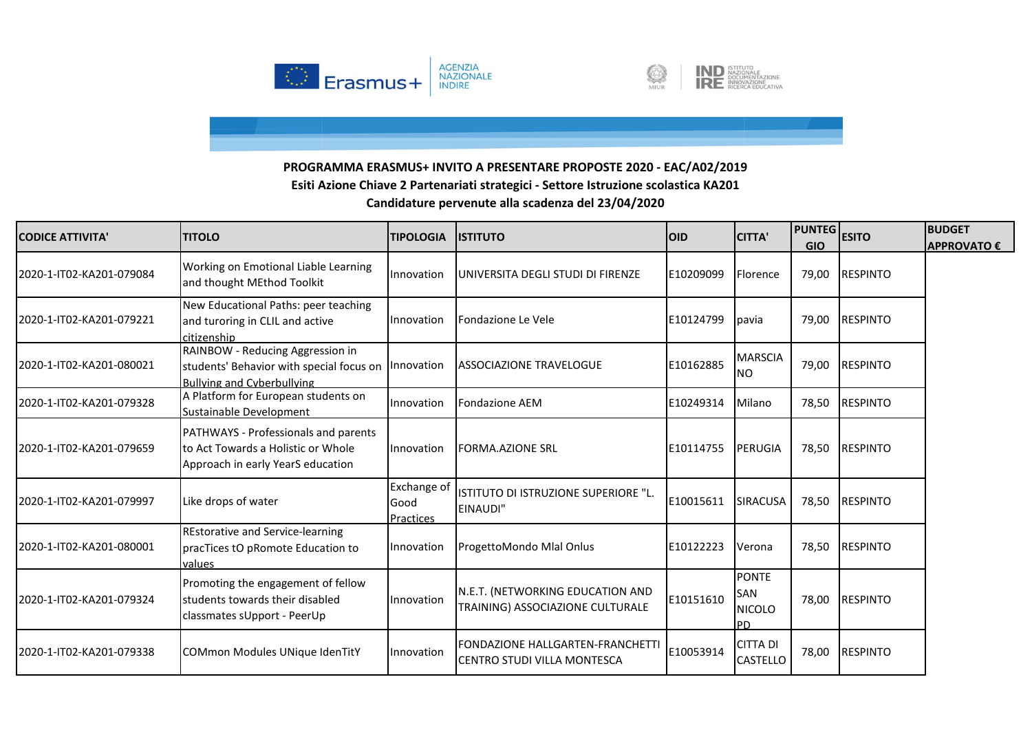



| <b>CODICE ATTIVITA'</b>  | <b>TITOLO</b>                                                                                                                | <b>TIPOLOGIA</b>                 | <b>IISTITUTO</b>                                                        | <b>OID</b> | <b>CITTA'</b>                                     | <b>PUNTEG</b> ESITO<br><b>GIO</b> |                 | <b>BUDGET</b><br><b>APPROVATO €</b> |
|--------------------------|------------------------------------------------------------------------------------------------------------------------------|----------------------------------|-------------------------------------------------------------------------|------------|---------------------------------------------------|-----------------------------------|-----------------|-------------------------------------|
| 2020-1-IT02-KA201-079084 | Working on Emotional Liable Learning<br>and thought MEthod Toolkit                                                           | Innovation                       | UNIVERSITA DEGLI STUDI DI FIRENZE                                       | E10209099  | Florence                                          | 79,00                             | <b>RESPINTO</b> |                                     |
| 2020-1-IT02-KA201-079221 | New Educational Paths: peer teaching<br>and turoring in CLIL and active<br>citizenship                                       | Innovation                       | Fondazione Le Vele                                                      | E10124799  | pavia                                             | 79,00                             | <b>RESPINTO</b> |                                     |
| 2020-1-IT02-KA201-080021 | RAINBOW - Reducing Aggression in<br>students' Behavior with special focus on Innovation<br><b>Bullying and Cyberbullying</b> |                                  | <b>ASSOCIAZIONE TRAVELOGUE</b>                                          | E10162885  | <b>MARSCIA</b><br><b>NO</b>                       | 79,00                             | <b>RESPINTO</b> |                                     |
| 2020-1-IT02-KA201-079328 | A Platform for European students on<br>Sustainable Development                                                               | Innovation                       | <b>Fondazione AEM</b>                                                   | E10249314  | Milano                                            | 78,50                             | <b>RESPINTO</b> |                                     |
| 2020-1-IT02-KA201-079659 | <b>PATHWAYS - Professionals and parents</b><br>to Act Towards a Holistic or Whole<br>Approach in early YearS education       | Innovation                       | <b>FORMA.AZIONE SRL</b>                                                 | E10114755  | <b>PERUGIA</b>                                    | 78,50                             | <b>RESPINTO</b> |                                     |
| 2020-1-IT02-KA201-079997 | Like drops of water                                                                                                          | Exchange of<br>Good<br>Practices | ISTITUTO DI ISTRUZIONE SUPERIORE "L.<br>EINAUDI"                        | E10015611  | <b>SIRACUSA</b>                                   | 78,50                             | <b>RESPINTO</b> |                                     |
| 2020-1-IT02-KA201-080001 | <b>REstorative and Service-learning</b><br>pracTices tO pRomote Education to<br>values                                       | Innovation                       | ProgettoMondo Mlal Onlus                                                | E10122223  | Verona                                            | 78,50                             | <b>RESPINTO</b> |                                     |
| 2020-1-IT02-KA201-079324 | Promoting the engagement of fellow<br>students towards their disabled<br>classmates sUpport - PeerUp                         | Innovation                       | N.E.T. (NETWORKING EDUCATION AND<br>TRAINING) ASSOCIAZIONE CULTURALE    | E10151610  | <b>PONTE</b><br>SAN<br><b>NICOLO</b><br><b>PD</b> | 78,00                             | <b>RESPINTO</b> |                                     |
| 2020-1-IT02-KA201-079338 | COMmon Modules UNique IdenTitY                                                                                               | Innovation                       | <b>FONDAZIONE HALLGARTEN-FRANCHETTI</b><br>ICENTRO STUDI VILLA MONTESCA | E10053914  | <b>CITTA DI</b><br><b>CASTELLO</b>                | 78,00                             | <b>RESPINTO</b> |                                     |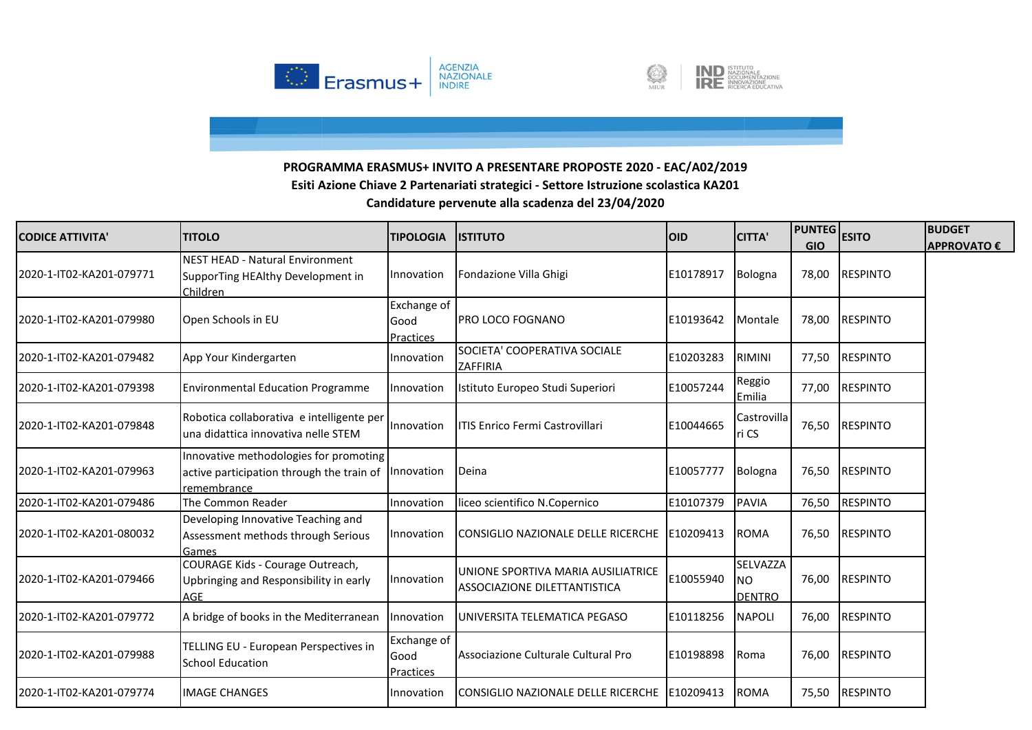



| <b>CODICE ATTIVITA'</b>  | <b>TITOLO</b>                                                                                                 | <b>TIPOLOGIA</b>                 | <b>ISTITUTO</b>                                                    | <b>OID</b> | <b>CITTA'</b>                          | <b>PUNTEG</b> ESITO<br><b>GIO</b> |                 | <b>BUDGET</b><br><b>APPROVATO €</b> |
|--------------------------|---------------------------------------------------------------------------------------------------------------|----------------------------------|--------------------------------------------------------------------|------------|----------------------------------------|-----------------------------------|-----------------|-------------------------------------|
| 2020-1-IT02-KA201-079771 | <b>NEST HEAD - Natural Environment</b><br>SupporTing HEAlthy Development in<br>Children                       | Innovation                       | Fondazione Villa Ghigi                                             | E10178917  | Bologna                                | 78,00                             | <b>RESPINTO</b> |                                     |
| 2020-1-IT02-KA201-079980 | Open Schools in EU                                                                                            | Exchange of<br>Good<br>Practices | <b>PRO LOCO FOGNANO</b>                                            | E10193642  | Montale                                | 78,00                             | <b>RESPINTO</b> |                                     |
| 2020-1-IT02-KA201-079482 | App Your Kindergarten                                                                                         | Innovation                       | SOCIETA' COOPERATIVA SOCIALE<br>ZAFFIRIA                           | E10203283  | <b>RIMINI</b>                          | 77,50                             | <b>RESPINTO</b> |                                     |
| 2020-1-IT02-KA201-079398 | <b>Environmental Education Programme</b>                                                                      | Innovation                       | Istituto Europeo Studi Superiori                                   | E10057244  | Reggio<br>Emilia                       |                                   | 77,00 RESPINTO  |                                     |
| 2020-1-IT02-KA201-079848 | Robotica collaborativa e intelligente per<br>una didattica innovativa nelle STEM                              | Innovation                       | ITIS Enrico Fermi Castrovillari                                    | E10044665  | Castrovilla<br>ri CS                   | 76,50                             | <b>RESPINTO</b> |                                     |
| 2020-1-IT02-KA201-079963 | Innovative methodologies for promoting<br>active participation through the train of Innovation<br>remembrance |                                  | Deina                                                              | E10057777  | Bologna                                | 76,50                             | <b>RESPINTO</b> |                                     |
| 2020-1-IT02-KA201-079486 | The Common Reader                                                                                             | Innovation                       | liceo scientifico N.Copernico                                      | E10107379  | <b>PAVIA</b>                           | 76,50                             | <b>RESPINTO</b> |                                     |
| 2020-1-IT02-KA201-080032 | Developing Innovative Teaching and<br>Assessment methods through Serious<br>Games                             | Innovation                       | CONSIGLIO NAZIONALE DELLE RICERCHE                                 | E10209413  | <b>ROMA</b>                            | 76,50                             | <b>RESPINTO</b> |                                     |
| 2020-1-IT02-KA201-079466 | COURAGE Kids - Courage Outreach,<br>Upbringing and Responsibility in early<br><b>AGE</b>                      | Innovation                       | UNIONE SPORTIVA MARIA AUSILIATRICE<br>ASSOCIAZIONE DILETTANTISTICA | E10055940  | SELVAZZA<br><b>NO</b><br><b>DENTRO</b> | 76,00                             | <b>RESPINTO</b> |                                     |
| 2020-1-IT02-KA201-079772 | A bridge of books in the Mediterranean                                                                        | Innovation                       | UNIVERSITA TELEMATICA PEGASO                                       | E10118256  | <b>NAPOLI</b>                          | 76,00                             | <b>RESPINTO</b> |                                     |
| 2020-1-IT02-KA201-079988 | TELLING EU - European Perspectives in<br><b>School Education</b>                                              | Exchange of<br>Good<br>Practices | Associazione Culturale Cultural Pro                                | E10198898  | Roma                                   | 76,00                             | <b>RESPINTO</b> |                                     |
| 2020-1-IT02-KA201-079774 | <b>IMAGE CHANGES</b>                                                                                          | Innovation                       | CONSIGLIO NAZIONALE DELLE RICERCHE                                 | E10209413  | <b>ROMA</b>                            | 75,50                             | <b>RESPINTO</b> |                                     |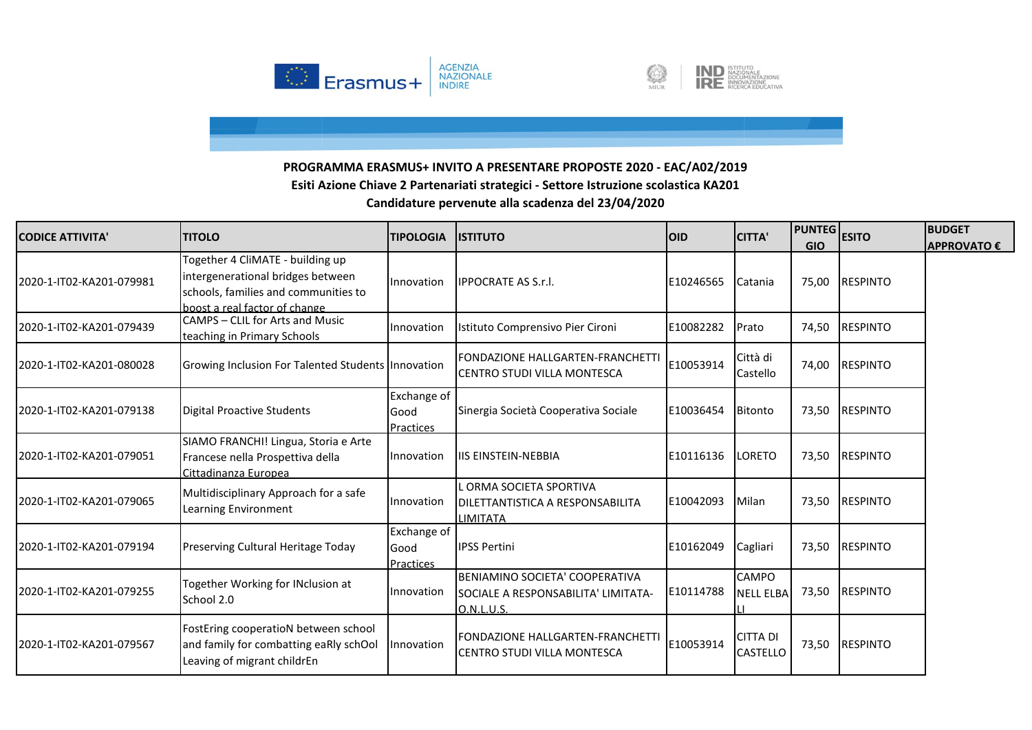



| <b>CODICE ATTIVITA'</b>  | <b>TITOLO</b>                                                                                                                                  | <b>TIPOLOGIA</b>                        | <b>ISTITUTO</b>                                                                     | <b>OID</b> | <b>CITTA'</b>                    | <b>PUNTEG</b><br><b>GIO</b> | <b>ESITO</b>    | <b>BUDGET</b><br><b>APPROVATO €</b> |
|--------------------------|------------------------------------------------------------------------------------------------------------------------------------------------|-----------------------------------------|-------------------------------------------------------------------------------------|------------|----------------------------------|-----------------------------|-----------------|-------------------------------------|
| 2020-1-IT02-KA201-079981 | Together 4 CliMATE - building up<br>intergenerational bridges between<br>schools, families and communities to<br>boost a real factor of change | Innovation                              | <b>IPPOCRATE AS S.r.I.</b>                                                          | E10246565  | Catania                          | 75,00                       | <b>RESPINTO</b> |                                     |
| 2020-1-IT02-KA201-079439 | CAMPS - CLIL for Arts and Music<br>teaching in Primary Schools                                                                                 | Innovation                              | Istituto Comprensivo Pier Cironi                                                    | E10082282  | Prato                            | 74,50                       | <b>RESPINTO</b> |                                     |
| 2020-1-IT02-KA201-080028 | Growing Inclusion For Talented Students Innovation                                                                                             |                                         | FONDAZIONE HALLGARTEN-FRANCHETTI<br>CENTRO STUDI VILLA MONTESCA                     | E10053914  | Città di<br>Castello             | 74,00                       | <b>RESPINTO</b> |                                     |
| 2020-1-IT02-KA201-079138 | <b>Digital Proactive Students</b>                                                                                                              | Exchange of<br>Good<br><b>Practices</b> | Sinergia Società Cooperativa Sociale                                                | E10036454  | Bitonto                          | 73,50                       | <b>RESPINTO</b> |                                     |
| 2020-1-IT02-KA201-079051 | SIAMO FRANCHI! Lingua, Storia e Arte<br>Francese nella Prospettiva della<br>Cittadinanza Europea                                               | Innovation                              | <b>IIS EINSTEIN-NEBBIA</b>                                                          | E10116136  | LORETO                           | 73,50                       | <b>RESPINTO</b> |                                     |
| 2020-1-IT02-KA201-079065 | Multidisciplinary Approach for a safe<br>Learning Environment                                                                                  | Innovation                              | . ORMA SOCIETA SPORTIVA<br>DILETTANTISTICA A RESPONSABILITA<br>LIMITATA             | E10042093  | Milan                            | 73,50                       | <b>RESPINTO</b> |                                     |
| 2020-1-IT02-KA201-079194 | Preserving Cultural Heritage Today                                                                                                             | Exchange of<br>Good<br>Practices        | <b>IPSS Pertini</b>                                                                 | E10162049  | Cagliari                         | 73,50                       | <b>RESPINTO</b> |                                     |
| 2020-1-IT02-KA201-079255 | Together Working for INclusion at<br>School 2.0                                                                                                | Innovation                              | BENIAMINO SOCIETA' COOPERATIVA<br>SOCIALE A RESPONSABILITA' LIMITATA-<br>O.N.L.U.S. | E10114788  | <b>CAMPO</b><br><b>NELL ELBA</b> | 73,50                       | <b>RESPINTO</b> |                                     |
| 2020-1-IT02-KA201-079567 | FostEring cooperatioN between school<br>and family for combatting eaRly schOol<br>Leaving of migrant childrEn                                  | Innovation                              | FONDAZIONE HALLGARTEN-FRANCHETT<br>CENTRO STUDI VILLA MONTESCA                      | E10053914  | <b>CITTA DI</b><br>CASTELLO      | 73,50                       | <b>RESPINTO</b> |                                     |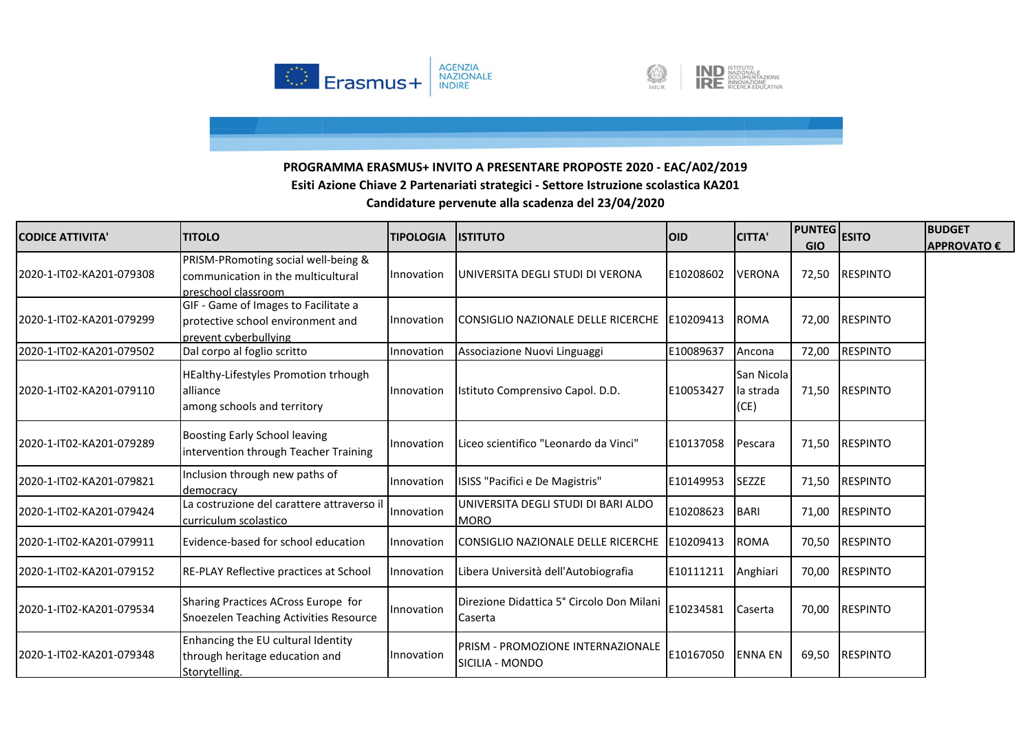



| <b>CODICE ATTIVITA'</b>  | <b>TITOLO</b>                                                                                      | <b>TIPOLOGIA</b> | <b>IISTITUTO</b>                                            | <b>OID</b> | <b>CITTA'</b>                    | <b>PUNTEG</b><br><b>GIO</b> | <b>ESITO</b>    | <b>BUDGET</b><br><b>APPROVATO €</b> |
|--------------------------|----------------------------------------------------------------------------------------------------|------------------|-------------------------------------------------------------|------------|----------------------------------|-----------------------------|-----------------|-------------------------------------|
| 2020-1-IT02-KA201-079308 | PRISM-PRomoting social well-being &<br>communication in the multicultural<br>preschool classroom   | Innovation       | UNIVERSITA DEGLI STUDI DI VERONA                            | E10208602  | <b>VERONA</b>                    | 72,50                       | <b>RESPINTO</b> |                                     |
| 2020-1-IT02-KA201-079299 | GIF - Game of Images to Facilitate a<br>protective school environment and<br>prevent cyberbullying | Innovation       | CONSIGLIO NAZIONALE DELLE RICERCHE   E10209413              |            | <b>ROMA</b>                      | 72,00                       | <b>RESPINTO</b> |                                     |
| 2020-1-IT02-KA201-079502 | Dal corpo al foglio scritto                                                                        | Innovation       | Associazione Nuovi Linguaggi                                | E10089637  | Ancona                           | 72,00                       | <b>RESPINTO</b> |                                     |
| 2020-1-IT02-KA201-079110 | <b>HEalthy-Lifestyles Promotion trhough</b><br><b>alliance</b><br>among schools and territory      | Innovation       | Istituto Comprensivo Capol. D.D.                            | E10053427  | San Nicolal<br>la strada<br>(CE) | 71,50                       | <b>RESPINTO</b> |                                     |
| 2020-1-IT02-KA201-079289 | Boosting Early School leaving<br>intervention through Teacher Training                             | Innovation       | Liceo scientifico "Leonardo da Vinci"                       | E10137058  | Pescara                          | 71,50                       | <b>RESPINTO</b> |                                     |
| 2020-1-IT02-KA201-079821 | Inclusion through new paths of<br>democracy                                                        | Innovation       | ISISS "Pacifici e De Magistris"                             | E10149953  | <b>SEZZE</b>                     | 71,50                       | <b>RESPINTO</b> |                                     |
| 2020-1-IT02-KA201-079424 | La costruzione del carattere attraverso il<br>curriculum scolastico                                | Innovation       | UNIVERSITA DEGLI STUDI DI BARI ALDO<br><b>MORO</b>          | E10208623  | <b>BARI</b>                      | 71,00                       | <b>RESPINTO</b> |                                     |
| 2020-1-IT02-KA201-079911 | Evidence-based for school education                                                                | Innovation       | CONSIGLIO NAZIONALE DELLE RICERCHE                          | E10209413  | <b>ROMA</b>                      | 70,50                       | <b>RESPINTO</b> |                                     |
| 2020-1-IT02-KA201-079152 | RE-PLAY Reflective practices at School                                                             | Innovation       | Libera Università dell'Autobiografia                        | E10111211  | Anghiari                         | 70,00                       | <b>RESPINTO</b> |                                     |
| 2020-1-IT02-KA201-079534 | Sharing Practices ACross Europe for<br>Snoezelen Teaching Activities Resource                      | Innovation       | Direzione Didattica 5° Circolo Don Milani<br>Caserta        | E10234581  | Caserta                          | 70,00                       | <b>RESPINTO</b> |                                     |
| 2020-1-IT02-KA201-079348 | Enhancing the EU cultural Identity<br>through heritage education and<br>Storvtelling.              | Innovation       | <b>PRISM - PROMOZIONE INTERNAZIONALE</b><br>SICILIA - MONDO | E10167050  | <b>ENNA EN</b>                   | 69,50                       | <b>RESPINTO</b> |                                     |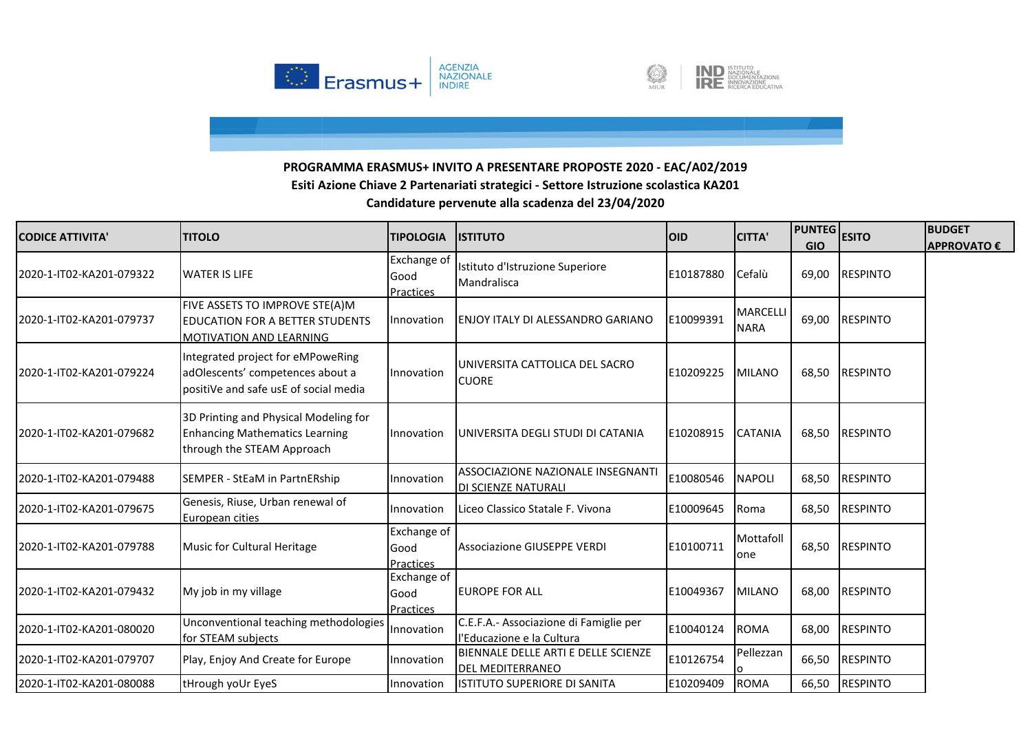



| <b>CODICE ATTIVITA'</b>  | <b>TITOLO</b>                                                                                                  | <b>TIPOLOGIA</b>                        | <b>ISTITUTO</b>                                                     | <b>OID</b> | <b>CITTA'</b>                  | <b>PUNTEG</b> | <b>ESITO</b>    | <b>BUDGET</b>      |
|--------------------------|----------------------------------------------------------------------------------------------------------------|-----------------------------------------|---------------------------------------------------------------------|------------|--------------------------------|---------------|-----------------|--------------------|
|                          |                                                                                                                |                                         |                                                                     |            |                                | <b>GIO</b>    |                 | <b>APPROVATO €</b> |
| 2020-1-IT02-KA201-079322 | <b>WATER IS LIFE</b>                                                                                           | Exchange of<br>Good<br>Practices        | Istituto d'Istruzione Superiore<br>Mandralisca                      | E10187880  | Cefalù                         | 69,00         | <b>RESPINTO</b> |                    |
| 2020-1-IT02-KA201-079737 | FIVE ASSETS TO IMPROVE STE(A)M<br><b>EDUCATION FOR A BETTER STUDENTS</b><br><b>MOTIVATION AND LEARNING</b>     | Innovation                              | ENJOY ITALY DI ALESSANDRO GARIANO                                   | E10099391  | <b>MARCELLI</b><br><b>NARA</b> | 69,00         | <b>RESPINTO</b> |                    |
| 2020-1-IT02-KA201-079224 | Integrated project for eMPoweRing<br>adOlescents' competences about a<br>positiVe and safe usE of social media | Innovation                              | UNIVERSITA CATTOLICA DEL SACRO<br><b>CUORE</b>                      | E10209225  | <b>MILANO</b>                  | 68,50         | <b>RESPINTO</b> |                    |
| 2020-1-IT02-KA201-079682 | 3D Printing and Physical Modeling for<br><b>Enhancing Mathematics Learning</b><br>through the STEAM Approach   | Innovation                              | UNIVERSITA DEGLI STUDI DI CATANIA                                   | E10208915  | <b>CATANIA</b>                 | 68,50         | <b>RESPINTO</b> |                    |
| 2020-1-IT02-KA201-079488 | SEMPER - StEaM in PartnERship                                                                                  | Innovation                              | ASSOCIAZIONE NAZIONALE INSEGNANTI<br>DI SCIENZE NATURALI            | E10080546  | NAPOLI                         | 68,50         | <b>RESPINTO</b> |                    |
| 2020-1-IT02-KA201-079675 | Genesis, Riuse, Urban renewal of<br>European cities                                                            | Innovation                              | Liceo Classico Statale F. Vivona                                    | E10009645  | Roma                           | 68,50         | <b>RESPINTO</b> |                    |
| 2020-1-IT02-KA201-079788 | Music for Cultural Heritage                                                                                    | Exchange of<br>Good<br><b>Practices</b> | <b>Associazione GIUSEPPE VERDI</b>                                  | E10100711  | Mottafoll<br>one               | 68,50         | <b>RESPINTO</b> |                    |
| 2020-1-IT02-KA201-079432 | My job in my village                                                                                           | Exchange of<br>Good<br><b>Practices</b> | <b>EUROPE FOR ALL</b>                                               | E10049367  | <b>MILANO</b>                  | 68,00         | <b>RESPINTO</b> |                    |
| 2020-1-IT02-KA201-080020 | Unconventional teaching methodologies<br>for STEAM subjects                                                    | Innovation                              | C.E.F.A.- Associazione di Famiglie per<br>l'Educazione e la Cultura | E10040124  | <b>ROMA</b>                    | 68,00         | <b>RESPINTO</b> |                    |
| 2020-1-IT02-KA201-079707 | Play, Enjoy And Create for Europe                                                                              | Innovation                              | BIENNALE DELLE ARTI E DELLE SCIENZE<br><b>DEL MEDITERRANEO</b>      | E10126754  | Pellezzan                      | 66,50         | <b>RESPINTO</b> |                    |
| 2020-1-IT02-KA201-080088 | tHrough yoUr EyeS                                                                                              | Innovation                              | ISTITUTO SUPERIORE DI SANITA                                        | E10209409  | <b>ROMA</b>                    | 66,50         | <b>RESPINTO</b> |                    |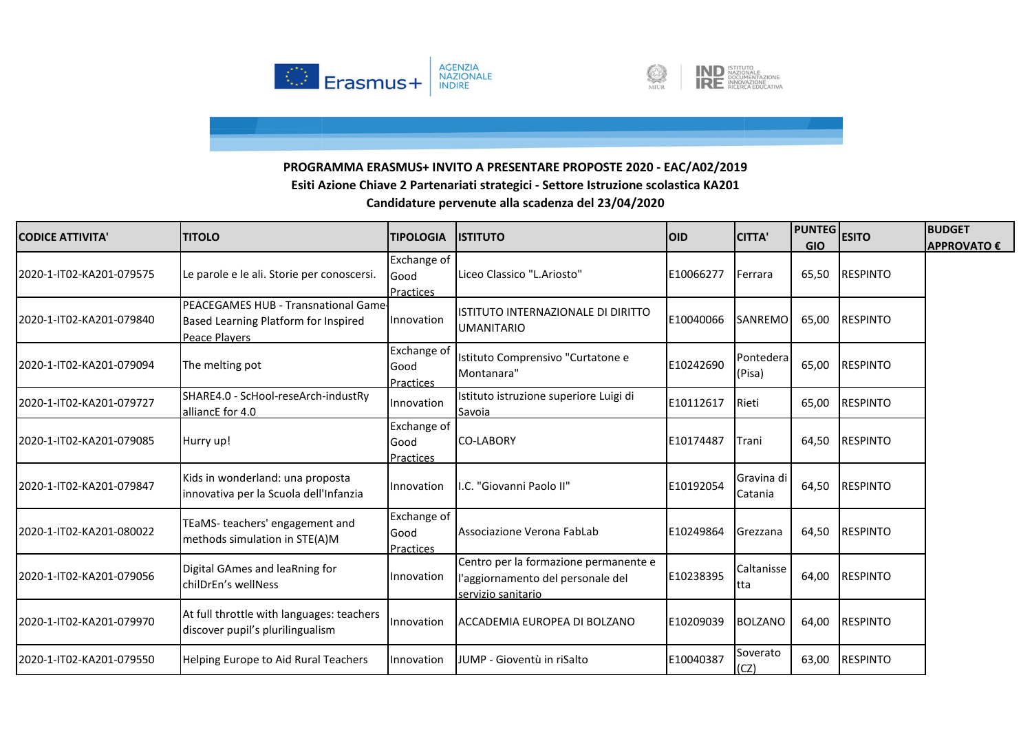



| <b>CODICE ATTIVITA'</b>  | <b>TITOLO</b>                                                                                 | <b>TIPOLOGIA</b>                        | <b>IISTITUTO</b>                                                                                 | <b>OID</b> | <b>CITTA'</b>         | <b>PUNTEG</b> ESITO<br><b>GIO</b> |                 | <b>BUDGET</b><br><b>APPROVATO €</b> |
|--------------------------|-----------------------------------------------------------------------------------------------|-----------------------------------------|--------------------------------------------------------------------------------------------------|------------|-----------------------|-----------------------------------|-----------------|-------------------------------------|
| 2020-1-IT02-KA201-079575 | Le parole e le ali. Storie per conoscersi.                                                    | <b>Exchange of</b><br>Good<br>Practices | Liceo Classico "L.Ariosto"                                                                       | E10066277  | Ferrara               | 65,50                             | <b>RESPINTO</b> |                                     |
| 2020-1-IT02-KA201-079840 | PEACEGAMES HUB - Transnational Game-<br>Based Learning Platform for Inspired<br>Peace Players | Innovation                              | IISTITUTO INTERNAZIONALE DI DIRITTO<br><b>UMANITARIO</b>                                         | E10040066  | SANREMO               | 65,00                             | <b>RESPINTO</b> |                                     |
| 2020-1-IT02-KA201-079094 | The melting pot                                                                               | Exchange of<br>Good<br>Practices        | Istituto Comprensivo "Curtatone e<br>Montanara"                                                  | E10242690  | Pontedera<br>(Pisa)   | 65,00                             | <b>RESPINTO</b> |                                     |
| 2020-1-IT02-KA201-079727 | SHARE4.0 - ScHool-reseArch-industRy<br>alliancE for 4.0                                       | Innovation                              | Istituto istruzione superiore Luigi di<br>Savoia                                                 | E10112617  | Rieti                 | 65,00                             | <b>RESPINTO</b> |                                     |
| 2020-1-IT02-KA201-079085 | Hurry up!                                                                                     | Exchange of<br>Good<br><b>Practices</b> | <b>CO-LABORY</b>                                                                                 | E10174487  | Trani                 | 64,50                             | <b>RESPINTO</b> |                                     |
| 2020-1-IT02-KA201-079847 | Kids in wonderland: una proposta<br>innovativa per la Scuola dell'Infanzia                    | Innovation                              | I.C. "Giovanni Paolo II"                                                                         | E10192054  | Gravina di<br>Catania |                                   | 64,50 RESPINTO  |                                     |
| 2020-1-IT02-KA201-080022 | TEaMS-teachers' engagement and<br>methods simulation in STE(A)M                               | Exchange of<br>Good<br><b>Practices</b> | Associazione Verona FabLab                                                                       | E10249864  | Grezzana              | 64,50                             | <b>RESPINTO</b> |                                     |
| 2020-1-IT02-KA201-079056 | Digital GAmes and leaRning for<br>chilDrEn's wellNess                                         | Innovation                              | Centro per la formazione permanente e<br>l'aggiornamento del personale del<br>servizio sanitario | E10238395  | Caltanisse<br>tta     | 64,00                             | <b>RESPINTO</b> |                                     |
| 2020-1-IT02-KA201-079970 | At full throttle with languages: teachers<br>discover pupil's plurilingualism                 | Innovation                              | ACCADEMIA EUROPEA DI BOLZANO                                                                     | E10209039  | <b>BOLZANO</b>        | 64,00                             | <b>RESPINTO</b> |                                     |
| 2020-1-IT02-KA201-079550 | Helping Europe to Aid Rural Teachers                                                          | Innovation                              | JUMP - Gioventù in riSalto                                                                       | E10040387  | Soverato<br>(CZ)      | 63,00                             | <b>RESPINTO</b> |                                     |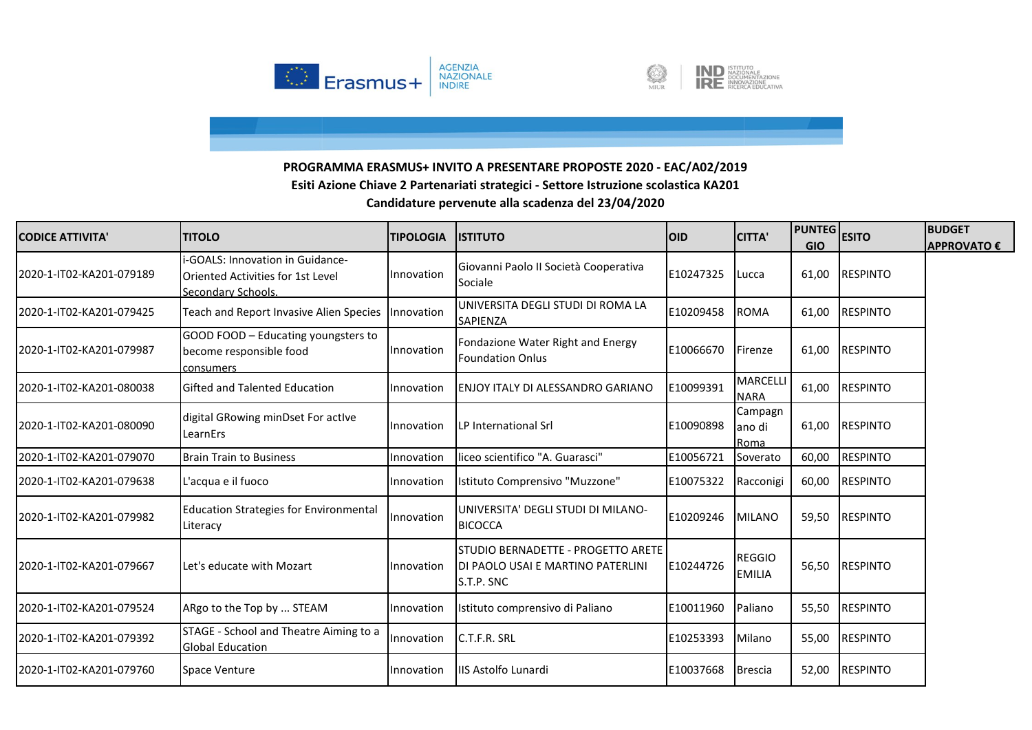



| <b>CODICE ATTIVITA'</b>  | <b>TITOLO</b>                                                                               | <b>TIPOLOGIA</b> | <b>ISTITUTO</b>                                                                       | <b>OID</b> | <b>CITTA'</b>                  | <b>PUNTEG</b><br><b>GIO</b> | <b>ESITO</b>    | <b>BUDGET</b><br><b>APPROVATO €</b> |
|--------------------------|---------------------------------------------------------------------------------------------|------------------|---------------------------------------------------------------------------------------|------------|--------------------------------|-----------------------------|-----------------|-------------------------------------|
| 2020-1-IT02-KA201-079189 | i-GOALS: Innovation in Guidance-<br>Oriented Activities for 1st Level<br>Secondary Schools. | Innovation       | Giovanni Paolo II Società Cooperativa<br>Sociale                                      | E10247325  | Lucca                          | 61,00                       | <b>RESPINTO</b> |                                     |
| 2020-1-IT02-KA201-079425 | Teach and Report Invasive Alien Species                                                     | Innovation       | UNIVERSITA DEGLI STUDI DI ROMA LA<br>SAPIENZA                                         | E10209458  | <b>ROMA</b>                    | 61,00                       | <b>RESPINTO</b> |                                     |
| 2020-1-IT02-KA201-079987 | GOOD FOOD - Educating youngsters to<br>become responsible food<br>consumers                 | Innovation       | Fondazione Water Right and Energy<br><b>Foundation Onlus</b>                          | E10066670  | Firenze                        | 61,00                       | <b>RESPINTO</b> |                                     |
| 2020-1-IT02-KA201-080038 | Gifted and Talented Education                                                               | Innovation       | <b>ENJOY ITALY DI ALESSANDRO GARIANO</b>                                              | E10099391  | MARCELLI<br><b>NARA</b>        | 61,00                       | <b>RESPINTO</b> |                                     |
| 2020-1-IT02-KA201-080090 | digital GRowing minDset For active<br>LearnErs                                              | Innovation       | LP International Srl                                                                  | E10090898  | Campagn<br>ano di<br>Roma      | 61,00                       | <b>RESPINTO</b> |                                     |
| 2020-1-IT02-KA201-079070 | <b>Brain Train to Business</b>                                                              | Innovation       | liceo scientifico "A. Guarasci"                                                       | E10056721  | Soverato                       | 60,00                       | <b>RESPINTO</b> |                                     |
| 2020-1-IT02-KA201-079638 | L'acqua e il fuoco                                                                          | Innovation       | Istituto Comprensivo "Muzzone"                                                        | E10075322  | Racconigi                      | 60,00                       | <b>RESPINTO</b> |                                     |
| 2020-1-IT02-KA201-079982 | <b>Education Strategies for Environmental</b><br>Literacy                                   | Innovation       | UNIVERSITA' DEGLI STUDI DI MILANO-<br><b>BICOCCA</b>                                  | E10209246  | <b>MILANO</b>                  | 59,50                       | <b>RESPINTO</b> |                                     |
| 2020-1-IT02-KA201-079667 | Let's educate with Mozart                                                                   | Innovation       | STUDIO BERNADETTE - PROGETTO ARETE<br>DI PAOLO USAI E MARTINO PATERLINI<br>S.T.P. SNC | E10244726  | <b>REGGIO</b><br><b>EMILIA</b> | 56,50                       | <b>RESPINTO</b> |                                     |
| 2020-1-IT02-KA201-079524 | ARgo to the Top by  STEAM                                                                   | Innovation       | Istituto comprensivo di Paliano                                                       | E10011960  | Paliano                        | 55,50                       | <b>RESPINTO</b> |                                     |
| 2020-1-IT02-KA201-079392 | STAGE - School and Theatre Aiming to a<br><b>Global Education</b>                           | Innovation       | C.T.F.R. SRL                                                                          | E10253393  | Milano                         | 55,00                       | <b>RESPINTO</b> |                                     |
| 2020-1-IT02-KA201-079760 | <b>Space Venture</b>                                                                        | Innovation       | IIS Astolfo Lunardi                                                                   | E10037668  | <b>Brescia</b>                 | 52,00                       | <b>RESPINTO</b> |                                     |